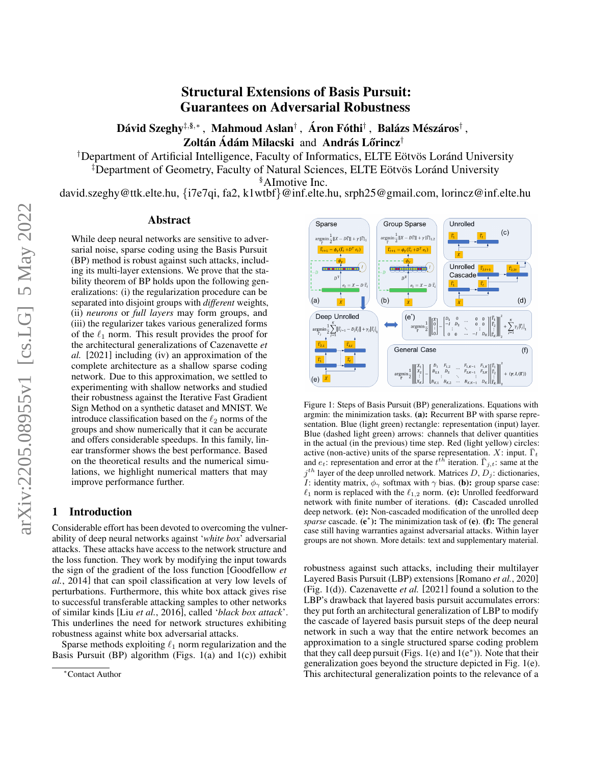# Structural Extensions of Basis Pursuit: Guarantees on Adversarial Robustness

Dávid Szeghy‡§,\* , Mahmoud Aslan† , Áron Fóthi† , Balázs Mészáros† , Zoltán Ádám Milacski and András Lőrincz $^\dagger$ 

<sup>†</sup>Department of Artificial Intelligence, Faculty of Informatics, ELTE Eötvös Lor and University

<sup>‡</sup>Department of Geometry, Faculty of Natural Sciences, ELTE Eötvös Loránd University

§AImotive Inc.

david.szeghy@ttk.elte.hu, {i7e7qi, fa2, k1wtbf}@inf.elte.hu, srph25@gmail.com, lorincz@inf.elte.hu

# Abstract

While deep neural networks are sensitive to adversarial noise, sparse coding using the Basis Pursuit (BP) method is robust against such attacks, including its multi-layer extensions. We prove that the stability theorem of BP holds upon the following generalizations: (i) the regularization procedure can be separated into disjoint groups with *different* weights, (ii) *neurons* or *full layers* may form groups, and (iii) the regularizer takes various generalized forms of the  $\ell_1$  norm. This result provides the proof for the architectural generalizations of [Cazenavette](#page-7-0) *et [al.](#page-7-0)* [\[2021\]](#page-7-0) including (iv) an approximation of the complete architecture as a shallow sparse coding network. Due to this approximation, we settled to experimenting with shallow networks and studied their robustness against the Iterative Fast Gradient Sign Method on a synthetic dataset and MNIST. We introduce classification based on the  $\ell_2$  norms of the groups and show numerically that it can be accurate and offers considerable speedups. In this family, linear transformer shows the best performance. Based on the theoretical results and the numerical simulations, we highlight numerical matters that may improve performance further.

# 1 Introduction

Considerable effort has been devoted to overcoming the vulnerability of deep neural networks against '*white box*' adversarial attacks. These attacks have access to the network structure and the loss function. They work by modifying the input towards the sign of the gradient of the loss function [\[Goodfellow](#page-7-1) *et al.*[, 2014\]](#page-7-1) that can spoil classification at very low levels of perturbations. Furthermore, this white box attack gives rise to successful transferable attacking samples to other networks of similar kinds [Liu *et al.*[, 2016\]](#page-7-2), called '*black box attack*'. This underlines the need for network structures exhibiting robustness against white box adversarial attacks.

Sparse methods exploiting  $\ell_1$  norm regularization and the Basis Pursuit (BP) algorithm (Figs.  $1(a)$  and  $1(c)$ ) exhibit

<span id="page-0-0"></span>

Figure 1: Steps of Basis Pursuit (BP) generalizations. Equations with argmin: the minimization tasks. (a): Recurrent BP with sparse representation. Blue (light green) rectangle: representation (input) layer. Blue (dashed light green) arrows: channels that deliver quantities in the actual (in the previous) time step. Red (light yellow) circles: active (non-active) units of the sparse representation. X: input.  $\bar{\Gamma}_t$ and  $e_t$ : representation and error at the  $t^{th}$  iteration.  $\bar{\Gamma}_{j,t}$ : same at the  $j^{th}$  layer of the deep unrolled network. Matrices D,  $D_j$ : dictionaries, I: identity matrix,  $\phi_{\gamma}$  softmax with  $\gamma$  bias. (b): group sparse case:  $\ell_1$  norm is replaced with the  $\ell_{1,2}$  norm. (c): Unrolled feedforward network with finite number of iterations. (d): Cascaded unrolled deep network. (e): Non-cascaded modification of the unrolled deep *sparse* cascade. (e<sup>\*</sup>): The minimization task of (e). (f): The general case still having warranties against adversarial attacks. Within layer groups are not shown. More details: text and supplementary material.

robustness against such attacks, including their multilayer Layered Basis Pursuit (LBP) extensions [\[Romano](#page-7-3) *et al.*, 2020] (Fig. [1\(](#page-0-0)d)). [Cazenavette](#page-7-0) *et al.* [\[2021\]](#page-7-0) found a solution to the LBP's drawback that layered basis pursuit accumulates errors: they put forth an architectural generalization of LBP to modify the cascade of layered basis pursuit steps of the deep neural network in such a way that the entire network becomes an approximation to a single structured sparse coding problem that they call deep pursuit (Figs. [1\(](#page-0-0)e) and  $1(e^*)$ ). Note that their generalization goes beyond the structure depicted in Fig. [1\(](#page-0-0)e). This architectural generalization points to the relevance of a

<sup>∗</sup>Contact Author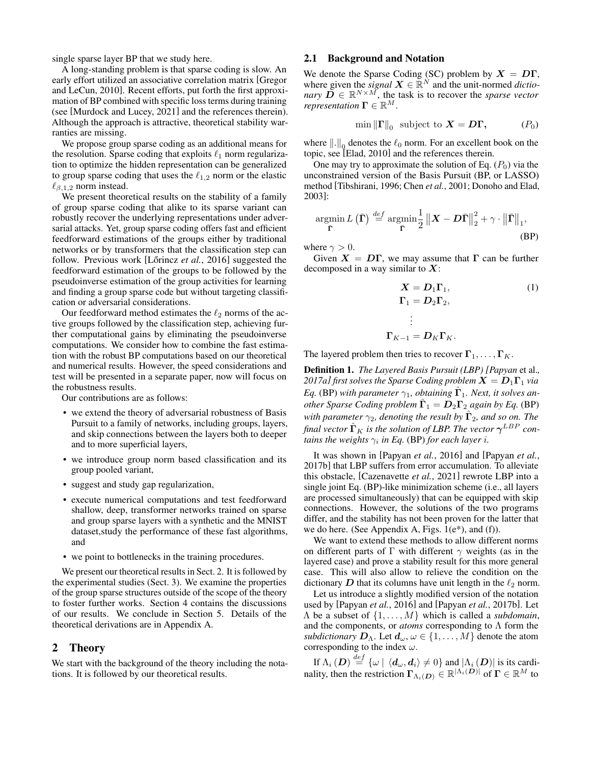single sparse layer BP that we study here.

A long-standing problem is that sparse coding is slow. An early effort utilized an associative correlation matrix [\[Gregor](#page-7-4) [and LeCun, 2010\]](#page-7-4). Recent efforts, put forth the first approximation of BP combined with specific loss terms during training (see [\[Murdock and Lucey, 2021\]](#page-7-5) and the references therein). Although the approach is attractive, theoretical stability warranties are missing.

We propose group sparse coding as an additional means for the resolution. Sparse coding that exploits  $\ell_1$  norm regularization to optimize the hidden representation can be generalized to group sparse coding that uses the  $\ell_{1,2}$  norm or the elastic  $\ell_{\beta,1,2}$  norm instead.

We present theoretical results on the stability of a family of group sparse coding that alike to its sparse variant can robustly recover the underlying representations under adversarial attacks. Yet, group sparse coding offers fast and efficient feedforward estimations of the groups either by traditional networks or by transformers that the classification step can follow. Previous work [Lőrincz et al., 2016] suggested the feedforward estimation of the groups to be followed by the pseudoinverse estimation of the group activities for learning and finding a group sparse code but without targeting classification or adversarial considerations.

Our feedforward method estimates the  $\ell_2$  norms of the active groups followed by the classification step, achieving further computational gains by eliminating the pseudoinverse computations. We consider how to combine the fast estimation with the robust BP computations based on our theoretical and numerical results. However, the speed considerations and test will be presented in a separate paper, now will focus on the robustness results.

Our contributions are as follows:

- we extend the theory of adversarial robustness of Basis Pursuit to a family of networks, including groups, layers, and skip connections between the layers both to deeper and to more superficial layers,
- we introduce group norm based classification and its group pooled variant,
- suggest and study gap regularization,
- execute numerical computations and test feedforward shallow, deep, transformer networks trained on sparse and group sparse layers with a synthetic and the MNIST dataset,study the performance of these fast algorithms, and
- we point to bottlenecks in the training procedures.

We present our theoretical results in Sect. [2.](#page-1-0) It is followed by the experimental studies (Sect. [3\)](#page-3-0). We examine the properties of the group sparse structures outside of the scope of the theory to foster further works. Section [4](#page-5-0) contains the discussions of our results. We conclude in Section [5.](#page-5-1) Details of the theoretical derivations are in Appendix [A.](#page-8-0)

#### <span id="page-1-0"></span>2 Theory

We start with the background of the theory including the notations. It is followed by our theoretical results.

# <span id="page-1-2"></span>2.1 Background and Notation

We denote the Sparse Coding (SC) problem by  $X = D\Gamma$ , where given the *signal*  $X \in \mathbb{R}^N$  and the unit-normed *dictionary*  $\mathbf{D} \in \mathbb{R}^{N \times M}$ , the task is to recover the *sparse vector representation*  $\mathbf{\Gamma} \in \mathbb{R}^M$ .

<span id="page-1-1"></span>
$$
\min \| \Gamma \|_0 \text{ subject to } \mathbf{X} = \mathbf{D} \mathbf{\Gamma}, \quad (P_0)
$$

where  $\|.\|_{\mathbb{Q}}$  denotes the  $\ell_0$  norm. For an excellent book on the topic, see [\[Elad, 2010\]](#page-7-7) and the references therein.

One may try to approximate the solution of Eq.  $(P_0)$  $(P_0)$  $(P_0)$  via the unconstrained version of the Basis Pursuit (BP, or LASSO) method [\[Tibshirani, 1996;](#page-7-8) Chen *et al.*[, 2001;](#page-7-9) [Donoho and Elad,](#page-7-10) [2003\]](#page-7-10):

$$
\underset{\bar{\Gamma}}{\operatorname{argmin}} L(\bar{\Gamma}) \stackrel{def}{=} \underset{\bar{\Gamma}}{\operatorname{argmin}} \frac{1}{2} ||\bm{X} - \bm{D}\bar{\Gamma}||_2^2 + \gamma \cdot ||\bar{\Gamma}||_1,
$$
\n(BP)

where  $\gamma > 0$ .

Given  $X = D\Gamma$ , we may assume that  $\Gamma$  can be further decomposed in a way similar to  $X$ :

$$
\mathbf{X} = \mathbf{D}_1 \mathbf{\Gamma}_1, \tag{1}
$$
\n
$$
\mathbf{\Gamma}_1 = \mathbf{D}_2 \mathbf{\Gamma}_2, \tag{1}
$$
\n
$$
\vdots
$$
\n
$$
\mathbf{\Gamma}_{K-1} = \mathbf{D}_K \mathbf{\Gamma}_K.
$$

The layered problem then tries to recover  $\Gamma_1, \ldots, \Gamma_K$ .

Definition 1. *The Layered Basis Pursuit (LBP) [\[Papyan](#page-7-11)* et al.*, [2017a\]](#page-7-11) first solves the Sparse Coding problem*  $X = D_1 \Gamma_1$  *via*  $Eq.$  [\(BP\)](#page-1-1) with parameter  $\gamma_1$ , obtaining  $\hat{\Gamma}_1$ *. Next, it solves an* $o$ ther Sparse Coding problem  $\hat{\Gamma}_1 = \bm{D}_2 \bm{\Gamma}_2$  again by Eq. [\(BP\)](#page-1-1) with parameter  $\gamma_2$ , denoting the result by  $\hat{\Gamma}_2$ , and so on. The final vector  $\hat{\boldsymbol{\Gamma}}_K$  is the solution of LBP. The vector  $\boldsymbol{\gamma}^{LBP}$  con*tains the weights*  $\gamma_i$  *in Eq.* [\(BP\)](#page-1-1) *for each layer i.* 

It was shown in [\[Papyan](#page-7-12) *et al.*, 2016] and [\[Papyan](#page-7-13) *et al.*, [2017b\]](#page-7-13) that LBP suffers from error accumulation. To alleviate this obstacle, [\[Cazenavette](#page-7-0) *et al.*, 2021] rewrote LBP into a single joint Eq. [\(BP\)](#page-1-1)-like minimization scheme (i.e., all layers are processed simultaneously) that can be equipped with skip connections. However, the solutions of the two programs differ, and the stability has not been proven for the latter that we do here. (See Appendix [A,](#page-8-0) Figs.  $1(e^*)$ , and (f)).

We want to extend these methods to allow different norms on different parts of  $\Gamma$  with different  $\gamma$  weights (as in the layered case) and prove a stability result for this more general case. This will also allow to relieve the condition on the dictionary  $D$  that its columns have unit length in the  $\ell_2$  norm.

Let us introduce a slightly modified version of the notation used by [\[Papyan](#page-7-12) *et al.*, 2016] and [Papyan *et al.*[, 2017b\]](#page-7-13). Let  $\Lambda$  be a subset of  $\{1, \ldots, M\}$  which is called a *subdomain*, and the components, or *atoms* corresponding to  $\Lambda$  form the *subdictionary*  $D_{\Lambda}$ . Let  $d_{\omega}, \omega \in \{1, ..., M\}$  denote the atom corresponding to the index  $\omega$ .

If  $\Lambda_i$   $(\bm{D})\stackrel{def}{=}\{\omega\mid \langle \bm{d}_\omega, \bm{d}_i\rangle\neq 0\}$  and  $|\Lambda_i$   $(\bm{D})|$  is its cardinality, then the restriction  $\mathbf{\Gamma}_{\Lambda_i(\boldsymbol{D})}\in\mathbb{R}^{|\Lambda_i(\boldsymbol{D})|}$  of  $\boldsymbol{\Gamma}\in\mathbb{R}^M$  to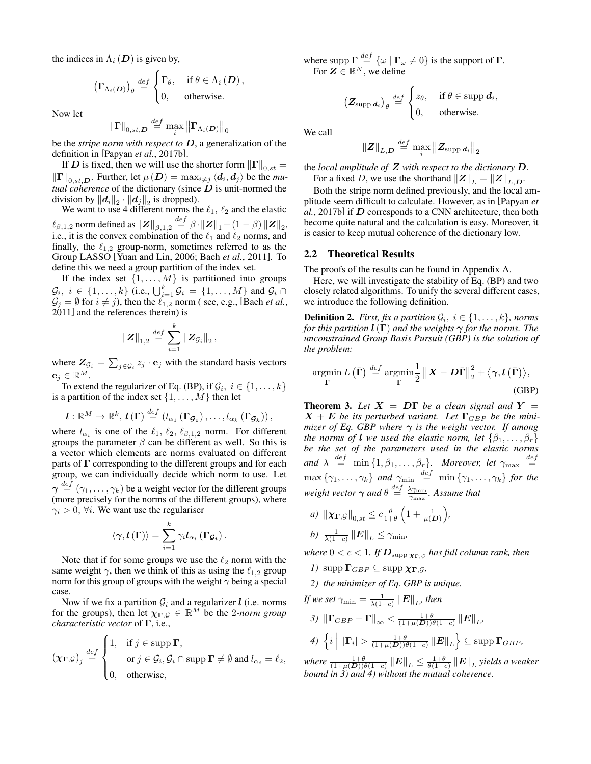the indices in  $\Lambda_i$  (D) is given by,

$$
\left(\Gamma_{\Lambda_i(\boldsymbol{D})}\right)_{\theta} \stackrel{def}{=} \begin{cases} \Gamma_{\theta}, & \text{if } \theta \in \Lambda_i(\boldsymbol{D}), \\ 0, & \text{otherwise.} \end{cases}
$$

Now let

$$
\left\Vert \boldsymbol{\Gamma}\right\Vert _{0,st,\boldsymbol{D}}\overset{def}{=}\max_{i}\left\Vert \boldsymbol{\Gamma}_{\Lambda_{i}(\boldsymbol{D})}\right\Vert _{0}
$$

be the *stripe norm with respect to* D, a generalization of the definition in [Papyan *et al.*[, 2017b\]](#page-7-13).

If D is fixed, then we will use the shorter form  $\left\| \Gamma \right\|_{0,st} =$  $\left\Vert \Gamma \right\Vert _{0,st,D}$ . Further, let  $\mu\left(D\right) = \max_{i \neq j} \left\langle d_i, d_j \right\rangle$  be the *mutual coherence* of the dictionary (since  $D$  is unit-normed the division by  $||\boldsymbol{d}_i||_2 \cdot ||\boldsymbol{d}_j||_2$  is dropped).

We want to use 4 different norms the  $\ell_1$ ,  $\ell_2$  and the elastic  $\ell_{\beta,1,2}$  norm defined as  $\|\boldsymbol{Z}\|_{\beta,1,2} \overset{def}{=} \beta \cdot \|\boldsymbol{Z}\|_1 + (1-\beta) \left\|\boldsymbol{Z}\right\|_2,$ i.e., it is the convex combination of the  $\ell_1$  and  $\ell_2$  norms, and finally, the  $\ell_{1,2}$  group-norm, sometimes referred to as the Group LASSO [\[Yuan and Lin, 2006;](#page-7-14) Bach *et al.*[, 2011\]](#page-7-15). To define this we need a group partition of the index set.

If the index set  $\{1, \ldots, M\}$  is partitioned into groups  $\mathcal{G}_i, i \in \{1, \ldots, k\}$  (i.e.,  $\bigcup_{i=1}^k \mathcal{G}_i = \{1, \ldots, M\}$  and  $\mathcal{G}_i \cap$  $\mathcal{G}_j = \emptyset$  for  $i \neq j$ ), then the  $\ell_{1,2}$  norm (see, e.g., [\[Bach](#page-7-15) *et al.*, [2011\]](#page-7-15) and the references therein) is

$$
\left\Vert \boldsymbol{Z} \right\Vert_{1,2} \overset{def}{=} \sum_{i=1}^k \left\Vert \boldsymbol{Z}_{\mathcal{G}_i} \right\Vert_2,
$$

where  $Z_{\mathcal{G}_i} = \sum_{j \in \mathcal{G}_i} z_j \cdot \mathbf{e}_j$  with the standard basis vectors  $e_j \in \mathbb{R}^M$ .

To extend the regularizer of Eq. [\(BP\)](#page-1-1), if  $\mathcal{G}_i$ ,  $i \in \{1, \ldots, k\}$ is a partition of the index set  $\{1, \ldots, M\}$  then let

$$
\boldsymbol{l}:\mathbb{R}^M\to\mathbb{R}^k,\,\boldsymbol{l}\left(\boldsymbol{\Gamma}\right)\stackrel{def}{=}\left(l_{\alpha_1}\left(\boldsymbol{\Gamma}_{\boldsymbol{\mathcal{G}}_1}\right),\ldots,l_{\alpha_k}\left(\boldsymbol{\Gamma}_{\boldsymbol{\mathcal{G}}_k}\right)\right),
$$

where  $l_{\alpha_i}$  is one of the  $\ell_1, \ell_2, \ell_{\beta,1,2}$  norm. For different groups the parameter  $\beta$  can be different as well. So this is a vector which elements are norms evaluated on different parts of  $\Gamma$  corresponding to the different groups and for each group, we can individually decide which norm to use. Let  $\gamma \stackrel{def}{=} (\gamma_1, \ldots, \gamma_k)$  be a weight vector for the different groups (more precisely for the norms of the different groups), where  $\gamma_i > 0$ ,  $\forall i$ . We want use the regulariser

$$
\left\langle \boldsymbol{\gamma},\boldsymbol{l}\left(\boldsymbol{\Gamma}\right)\right\rangle =\sum_{i=1}^{k}\gamma_{i}\boldsymbol{l}_{\alpha_{i}}\left(\boldsymbol{\Gamma}_{\boldsymbol{\mathcal{G}}_{i}}\right).
$$

Note that if for some groups we use the  $\ell_2$  norm with the same weight  $\gamma$ , then we think of this as using the  $\ell_{1,2}$  group norm for this group of groups with the weight  $\gamma$  being a special case.

Now if we fix a partition  $G_i$  and a regularizer *l* (i.e. norms for the groups), then let  $\chi_{\Gamma, \mathcal{G}} \in \mathbb{R}^M$  be the 2*-norm group characteristic vector* of Γ, i.e.,

$$
(\chi_{\mathbf{\Gamma},\mathcal{G}})_j \stackrel{\text{def}}{=} \begin{cases} 1, & \text{if } j \in \text{supp } \mathbf{\Gamma}, \\ & \text{or } j \in \mathcal{G}_i, \mathcal{G}_i \cap \text{supp } \mathbf{\Gamma} \neq \emptyset \text{ and } l_{\alpha_i} = \ell_2, \\ 0, & \text{otherwise}, \end{cases}
$$

where supp  $\Gamma \stackrel{def}{=} {\{\omega \mid \Gamma_{\omega} \neq 0\}}$  is the support of  $\Gamma$ . For  $\mathbf{Z} \in \mathbb{R}^N$ , we define

$$
\left(\mathbf{Z}_{\text{supp }d_i}\right)_{\theta} \stackrel{def}{=} \begin{cases} z_{\theta}, & \text{if } \theta \in \text{supp }d_i, \\ 0, & \text{otherwise.} \end{cases}
$$

We call

$$
\left\|\boldsymbol{Z}\right\|_{L,\boldsymbol{D}}\overset{def}{=}\max_{i}\left\|\boldsymbol{Z}_{\textrm{supp}\,\boldsymbol{d}_{i}}\right\|_{2}
$$

the *local amplitude of* Z *with respect to the dictionary* D.

For a fixed D, we use the shorthand  $||Z||_L = ||Z||_{L,D}$ .

Both the stripe norm defined previously, and the local amplitude seem difficult to calculate. However, as in [\[Papyan](#page-7-13) *et al.*[, 2017b\]](#page-7-13) if D corresponds to a CNN architecture, then both become quite natural and the calculation is easy. Moreover, it is easier to keep mutual coherence of the dictionary low.

### 2.2 Theoretical Results

The proofs of the results can be found in Appendix [A.](#page-8-0)

Here, we will investigate the stability of Eq. [\(BP\)](#page-1-1) and two closely related algorithms. To unify the several different cases, we introduce the following definition.

**Definition 2.** *First, fix a partition*  $\mathcal{G}_i$ ,  $i \in \{1, \ldots, k\}$ *, norms for this partition*  $\mathbf{l}(\Gamma)$  *and the weights*  $\gamma$  *for the norms. The unconstrained Group Basis Pursuit (GBP) is the solution of the problem:*

<span id="page-2-0"></span>
$$
\underset{\bar{\Gamma}}{\operatorname{argmin}} L(\bar{\Gamma}) \stackrel{def}{=} \underset{\bar{\Gamma}}{\operatorname{argmin}} \frac{1}{2} \| \bm{X} - \bm{D}\bar{\Gamma} \|_2^2 + \langle \gamma, l(\bar{\Gamma}) \rangle, \tag{GBP}
$$

<span id="page-2-1"></span>**Theorem 3.** Let  $X = D\Gamma$  be a clean signal and  $Y =$  $X + E$  *be its perturbed variant. Let*  $\Gamma_{GBP}$  *be the minimizer of Eq.* [GBP](#page-2-0) where  $\gamma$  *is the weight vector. If among the norms of l we used the elastic norm, let*  $\{\beta_1, \dots, \beta_r\}$ *be the set of the parameters used in the elastic norms* and  $\lambda \stackrel{def}{=} \min\{1, \beta_1, \ldots, \beta_r\}$ . Moreover, let  $\gamma_{\text{max}} \stackrel{def}{=}$  $\max\left\{\gamma_1,\ldots,\gamma_k\right\}$  and  $\gamma_{\min} \stackrel{def}{=} \min\left\{\gamma_1,\ldots,\gamma_k\right\}$  for the *weight vector*  $\gamma$  *and*  $\theta \stackrel{def}{=} \frac{\lambda \gamma_{\min}}{\gamma_{\max}}$ *. Assume that* 

*a*)  $\|\chi_{\Gamma,\mathcal{G}}\|_{0,st} \leq c \frac{\theta}{1+\theta} \left(1 + \frac{1}{\mu(D)}\right),$ 

$$
b) \frac{1}{\lambda(1-c)} ||E||_L \leq \gamma_{\min},
$$

where  $0 < c < 1$ . If  $\boldsymbol{D}_{\text{supp} \, \boldsymbol{\chi}_{\boldsymbol{\Gamma}, \mathcal{G}}}$  has full column rank, then

- *1)* supp  $\Gamma_{GBP} \subseteq \text{supp }\chi_{\Gamma,G}$ ,
- *2) the minimizer of Eq. [GBP](#page-2-0) is unique.*

If we set 
$$
\gamma_{\min} = \frac{1}{\lambda(1-c)} \|\mathbf{E}\|_{L}
$$
, then  
\n3)  $\|\mathbf{\Gamma}_{GBP} - \mathbf{\Gamma}\|_{\infty} < \frac{1+\theta}{(1+\mu(\mathbf{D}))\theta(1-c)} \|\mathbf{E}\|_{L}$ ,  
\n4)  $\left\{i \middle| |\mathbf{\Gamma}_i| > \frac{1+\theta}{(1+\mu(\mathbf{D}))\theta(1-c)} \|\mathbf{E}\|_{L}\right\} \subseteq \text{supp } \mathbf{\Gamma}_{GBP}$ ,

where  $\frac{1+\theta}{(1+\mu(\boldsymbol{D}))\theta(1-c)}\left\|\boldsymbol{E}\right\|_{L} \leq \frac{1+\theta}{\theta(1-c)}\left\|\boldsymbol{E}\right\|_{L}$  yields a weaker *bound in 3) and 4) without the mutual coherence.*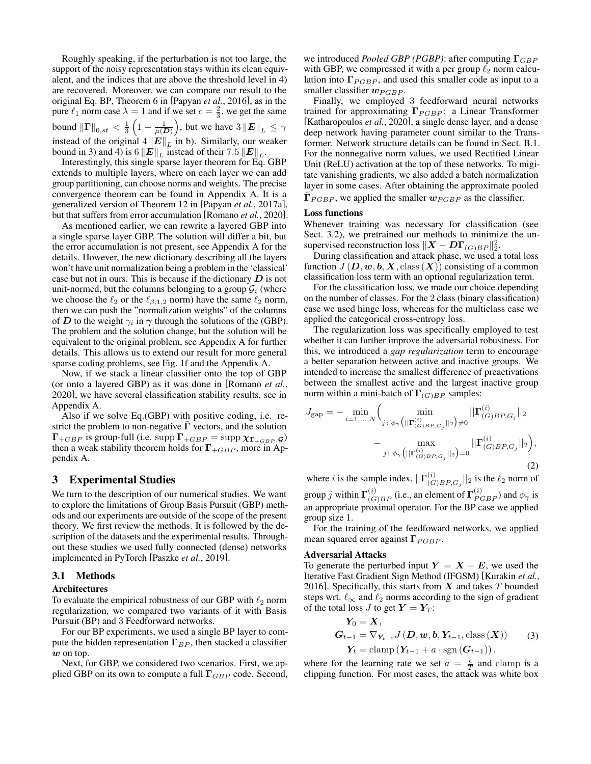Roughly speaking, if the perturbation is not too large, the support of the noisy representation stays within its clean equivalent, and the indices that are above the threshold level in 4) are recovered. Moreover, we can compare our result to the original Eq. [BP,](#page-1-1) Theorem 6 in [\[Papyan](#page-7-12) *et al.*, 2016], as in the pure  $\ell_1$  norm case  $\lambda = 1$  and if we set  $c = \frac{2}{3}$ , we get the same bound  $\|\Gamma\|_{0,st} < \frac{1}{3}\left(1+\frac{1}{\mu(D)}\right)$ , but we have  $3\|E\|_{L} \leq \gamma$ instead of the original  $4||E||_L$  in b). Similarly, our weaker bound in 3) and 4) is  $6 \left\| E \right\|_L$  instead of their  $7.5 \left\| E \right\|_L$ .

Interestingly, this single sparse layer theorem for Eq. [GBP](#page-2-0) extends to multiple layers, where on each layer we can add group partitioning, can choose norms and weights. The precise convergence theorem can be found in Appendix [A.](#page-8-0) It is a generalized version of Theorem 12 in [Papyan *et al.*[, 2017a\]](#page-7-11), but that suffers from error accumulation [\[Romano](#page-7-3) *et al.*, 2020].

As mentioned earlier, we can rewrite a layered GBP into a single sparse layer GBP. The solution will differ a bit, but the error accumulation is not present, see Appendix [A](#page-8-0) for the details. However, the new dictionary describing all the layers won't have unit normalization being a problem in the 'classical' case but not in ours. This is because if the dictionary  $D$  is not unit-normed, but the columns belonging to a group  $\mathcal{G}_i$  (where we choose the  $\ell_2$  or the  $\ell_{\beta,1,2}$  norm) have the same  $\ell_2$  norm, then we can push the "normalization weights" of the columns of D to the weight  $\gamma_i$  in  $\gamma$  through the solutions of the [\(GBP\)](#page-2-0). The problem and the solution change, but the solution will be equivalent to the original problem, see Appendix [A](#page-8-0) for further details. This allows us to extend our result for more general sparse coding problems, see Fig. [1f](#page-0-0) and the Appendix [A.](#page-8-0)

Now, if we stack a linear classifier onto the top of GBP (or onto a layered GBP) as it was done in [\[Romano](#page-7-3) *et al.*, [2020\]](#page-7-3), we have several classification stability results, see in Appendix [A.](#page-8-0)

Also if we solve Eq.[\(GBP\)](#page-2-0) with positive coding, i.e. restrict the problem to non-negative  $\Gamma$  vectors, and the solution  $\Gamma_{+GBP}$  is group-full (i.e. supp  $\Gamma_{+GBP} = \text{supp }\chi_{\Gamma_{+GBP}}, g$ ) then a weak stability theorem holds for  $\Gamma_{+GBP}$ , more in Appendix [A.](#page-8-0)

# <span id="page-3-0"></span>3 Experimental Studies

We turn to the description of our numerical studies. We want to explore the limitations of Group Basis Pursuit (GBP) methods and our experiments are outside of the scope of the present theory. We first review the methods. It is followed by the description of the datasets and the experimental results. Throughout these studies we used fully connected (dense) networks implemented in PyTorch [\[Paszke](#page-7-16) *et al.*, 2019].

### 3.1 Methods

# Architectures

To evaluate the empirical robustness of our GBP with  $\ell_2$  norm regularization, we compared two variants of it with Basis Pursuit (BP) and 3 Feedforward networks.

For our BP experiments, we used a single BP layer to compute the hidden representation  $\Gamma_{BP}$ , then stacked a classifier w on top.

Next, for GBP, we considered two scenarios. First, we applied GBP on its own to compute a full  $\Gamma_{GBP}$  code. Second,

we introduced *Pooled GBP (PGBP)*: after computing  $\Gamma_{GBP}$ with GBP, we compressed it with a per group  $\ell_2$  norm calculation into  $\Gamma_{PGBP}$ , and used this smaller code as input to a smaller classifier  $w_{PGBP}$ .

Finally, we employed 3 feedforward neural networks trained for approximating  $\Gamma_{PGBP}$ : a Linear Transformer [\[Katharopoulos](#page-7-17) *et al.*, 2020], a single dense layer, and a dense deep network having parameter count similar to the Transformer. Network structure details can be found in Sect. [B.1.](#page-17-0) For the nonnegative norm values, we used Rectified Linear Unit (ReLU) activation at the top of these networks. To migitate vanishing gradients, we also added a batch normalization layer in some cases. After obtaining the approximate pooled  $\hat{\Gamma}_{PGBP}$ , we applied the smaller  $w_{PGBP}$  as the classifier.

#### <span id="page-3-1"></span>Loss functions

Whenever training was necessary for classification (see Sect. [3.2\)](#page-4-0), we pretrained our methods to minimize the unsupervised reconstruction loss  $\|\boldsymbol{X}-\boldsymbol{D}\boldsymbol{\Gamma}_{(G)BP}\|_2^2$ .

During classification and attack phase, we used a total loss function  $J(D, \mathbf{w}, \mathbf{b}, \mathbf{X}, \text{class}(\mathbf{X}))$  consisting of a common classification loss term with an optional regularization term.

For the classification loss, we made our choice depending on the number of classes. For the 2 class (binary classification) case we used hinge loss, whereas for the multiclass case we applied the categorical cross-entropy loss.

The regularization loss was specifically employed to test whether it can further improve the adversarial robustness. For this, we introduced a *gap regularization* term to encourage a better separation between active and inactive groups. We intended to increase the smallest difference of preactivations between the smallest active and the largest inactive group norm within a mini-batch of  $\Gamma_{(G)BP}$  samples:

<span id="page-3-2"></span>
$$
J_{\rm gap} = -\min_{i=1,\dots,N} \Biggl( \min_{j\,:\,\phi_{\gamma} \left( ||\mathbf{\Gamma}^{(i)}_{(G)BP,G_j}||_2 \right) \neq 0} ||\mathbf{\Gamma}^{(i)}_{(G)BP,G_j}||_2 \Biggr) - \max_{j\,:\,\phi_{\gamma} \left( ||\mathbf{\Gamma}^{(i)}_{(G)BP,G_j}||_2 \right) = 0} ||\mathbf{\Gamma}^{(i)}_{(G)BP,G_j}||_2 \Biggr),
$$
\n(2)

where i is the sample index,  $\prod_{i=1}^{i}$  $\binom{v}{(G)BP,G_j}$  | 2 is the  $\ell_2$  norm of group j within  $\Gamma_{(G)BP}^{(i)}$  (i.e., an element of  $\Gamma_{PGBP}^{(i)}$ ) and  $\phi_{\gamma}$  is an appropriate proximal operator. For the BP case we applied group size 1.

For the training of the feedfoward networks, we applied mean squared error against  $\Gamma_{PGBP}$ .

#### Adversarial Attacks

To generate the perturbed input  $Y = X + E$ , we used the Iterative Fast Gradient Sign Method (IFGSM) [\[Kurakin](#page-7-18) *et al.*, [2016\]](#page-7-18). Specifically, this starts from  $X$  and takes  $T$  bounded steps wrt.  $\ell_{\infty}$  and  $\ell_2$  norms according to the sign of gradient of the total loss J to get  $Y = Y_T$ :

$$
\mathbf{Y}_0 = \mathbf{X},
$$
  
\n
$$
\mathbf{G}_{t-1} = \nabla_{\mathbf{Y}_{t-1}} J(\mathbf{D}, \mathbf{w}, \mathbf{b}, \mathbf{Y}_{t-1}, \text{class}(\mathbf{X}))
$$
 (3)  
\n
$$
\mathbf{Y}_t = \text{clamp}\left(\mathbf{Y}_{t-1} + a \cdot \text{sgn}\left(\mathbf{G}_{t-1}\right)\right).
$$

where for the learning rate we set  $a = \frac{\epsilon}{T}$  and clamp is a clipping function. For most cases, the attack was white box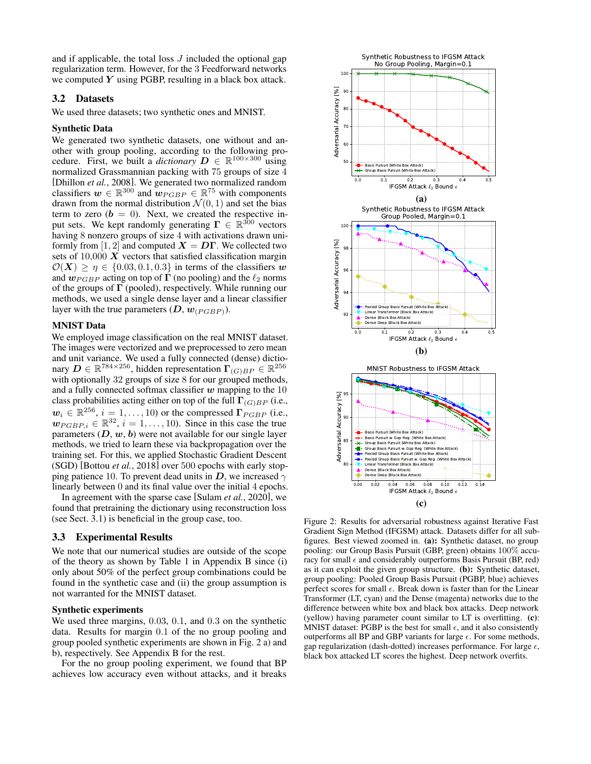and if applicable, the total loss  $J$  included the optional gap regularization term. However, for the 3 Feedforward networks we computed  $Y$  using PGBP, resulting in a black box attack.

# 3.2 Datasets

We used three datasets; two synthetic ones and MNIST.

#### Synthetic Data

We generated two synthetic datasets, one without and another with group pooling, according to the following procedure. First, we built a *dictionary*  $D \in \mathbb{R}^{100 \times 300}$  using normalized Grassmannian packing with 75 groups of size 4 [\[Dhillon](#page-7-19) *et al.*, 2008]. We generated two normalized random classifiers  $w \in \mathbb{R}^{300}$  and  $w_{PGBP} \in \mathbb{R}^{75}$  with components drawn from the normal distribution  $\mathcal{N}(0, 1)$  and set the bias term to zero  $(b = 0)$ . Next, we created the respective input sets. We kept randomly generating  $\mathbf{\Gamma} \in \mathbb{R}^{300}$  vectors having 8 nonzero groups of size 4 with activations drawn uniformly from [1, 2] and computed  $X = D\Gamma$ . We collected two sets of  $10,000 \ X$  vectors that satisfied classification margin  $\mathcal{O}(X)$  >  $\eta \in \{0.03, 0.1, 0.3\}$  in terms of the classifiers w and  $w_{PGBP}$  acting on top of  $\Gamma$  (no pooling) and the  $\ell_2$  norms of the groups of  $\Gamma$  (pooled), respectively. While running our methods, we used a single dense layer and a linear classifier layer with the true parameters  $(D, w_{(PGBP)}).$ 

#### <span id="page-4-0"></span>MNIST Data

We employed image classification on the real MNIST dataset. The images were vectorized and we preprocessed to zero mean and unit variance. We used a fully connected (dense) dictionary  $D \in \mathbb{R}^{784 \times 256}$ , hidden representation  $\Gamma_{(G)BP} \in \mathbb{R}^{256}$ with optionally 32 groups of size 8 for our grouped methods, and a fully connected softmax classifier  $w$  mapping to the 10 class probabilities acting either on top of the full  $\Gamma_{(G)BP}$  (i.e.,  $w_i \in \mathbb{R}^{256}, i = 1, \ldots, 10$ ) or the compressed  $\Gamma_{PGBP}$  (i.e.,  $\mathbf{w}_{PGBP,i} \in \mathbb{R}^{32}, i = 1, \ldots, 10$ . Since in this case the true parameters  $(D, w, b)$  were not available for our single layer methods, we tried to learn these via backpropagation over the training set. For this, we applied Stochastic Gradient Descent (SGD) [\[Bottou](#page-7-20) *et al.*, 2018] over 500 epochs with early stopping patience 10. To prevent dead units in D, we increased  $\gamma$ linearly between 0 and its final value over the initial 4 epochs.

In agreement with the sparse case [\[Sulam](#page-7-21) *et al.*, 2020], we found that pretraining the dictionary using reconstruction loss (see Sect. [3.1\)](#page-3-1) is beneficial in the group case, too.

# 3.3 Experimental Results

We note that our numerical studies are outside of the scope of the theory as shown by Table [1](#page-18-0) in Appendix [B](#page-17-1) since (i) only about 50% of the perfect group combinations could be found in the synthetic case and (ii) the group assumption is not warranted for the MNIST dataset.

#### Synthetic experiments

We used three margins, 0.03, 0.1, and 0.3 on the synthetic data. Results for margin 0.1 of the no group pooling and group pooled synthetic experiments are shown in Fig. [2](#page-4-1) a) and b), respectively. See Appendix [B](#page-17-1) for the rest.

For the no group pooling experiment, we found that BP achieves low accuracy even without attacks, and it breaks

<span id="page-4-1"></span>

Figure 2: Results for adversarial robustness against Iterative Fast Gradient Sign Method (IFGSM) attack. Datasets differ for all subfigures. Best viewed zoomed in. (a): Synthetic dataset, no group pooling: our Group Basis Pursuit (GBP, green) obtains 100% accuracy for small  $\epsilon$  and considerably outperforms Basis Pursuit (BP, red) as it can exploit the given group structure. (b): Synthetic dataset, group pooling: Pooled Group Basis Pursuit (PGBP, blue) achieves perfect scores for small  $\epsilon$ . Break down is faster than for the Linear Transformer (LT, cyan) and the Dense (magenta) networks due to the difference between white box and black box attacks. Deep network (yellow) having parameter count similar to LT is overfitting. (c): MNIST dataset: PGBP is the best for small  $\epsilon$ , and it also consistently outperforms all BP and GBP variants for large  $\epsilon$ . For some methods, gap regularization (dash-dotted) increases performance. For large  $\epsilon$ , black box attacked LT scores the highest. Deep network overfits.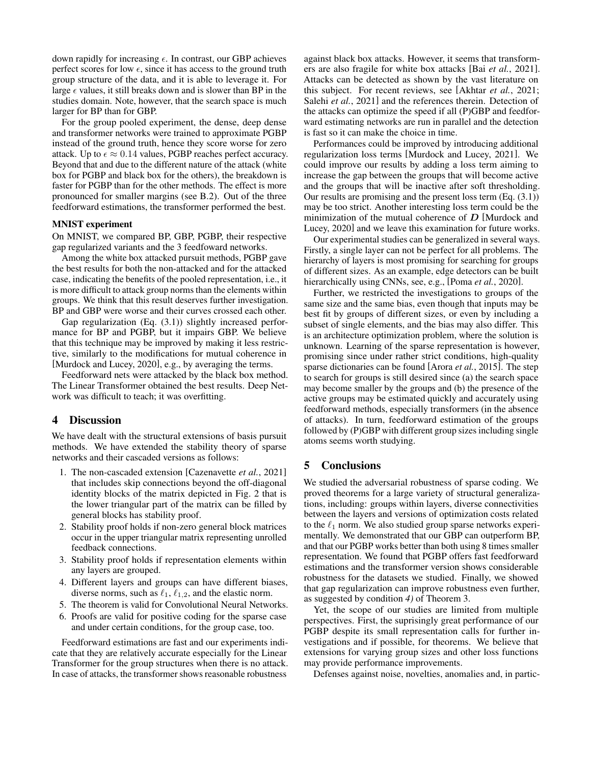down rapidly for increasing  $\epsilon$ . In contrast, our GBP achieves perfect scores for low  $\epsilon$ , since it has access to the ground truth group structure of the data, and it is able to leverage it. For large  $\epsilon$  values, it still breaks down and is slower than BP in the studies domain. Note, however, that the search space is much larger for BP than for GBP.

For the group pooled experiment, the dense, deep dense and transformer networks were trained to approximate PGBP instead of the ground truth, hence they score worse for zero attack. Up to  $\epsilon \approx 0.14$  values, PGBP reaches perfect accuracy. Beyond that and due to the different nature of the attack (white box for PGBP and black box for the others), the breakdown is faster for PGBP than for the other methods. The effect is more pronounced for smaller margins (see [B.2\)](#page-18-1). Out of the three feedforward estimations, the transformer performed the best.

#### MNIST experiment

On MNIST, we compared BP, GBP, PGBP, their respective gap regularized variants and the 3 feedfoward networks.

Among the white box attacked pursuit methods, PGBP gave the best results for both the non-attacked and for the attacked case, indicating the benefits of the pooled representation, i.e., it is more difficult to attack group norms than the elements within groups. We think that this result deserves further investigation. BP and GBP were worse and their curves crossed each other.

Gap regularization (Eq. [\(3.1\)](#page-3-2)) slightly increased performance for BP and PGBP, but it impairs GBP. We believe that this technique may be improved by making it less restrictive, similarly to the modifications for mutual coherence in [\[Murdock and Lucey, 2020\]](#page-7-22), e.g., by averaging the terms.

Feedforward nets were attacked by the black box method. The Linear Transformer obtained the best results. Deep Network was difficult to teach; it was overfitting.

# <span id="page-5-0"></span>4 Discussion

We have dealt with the structural extensions of basis pursuit methods. We have extended the stability theory of sparse networks and their cascaded versions as follows:

- 1. The non-cascaded extension [\[Cazenavette](#page-7-0) *et al.*, 2021] that includes skip connections beyond the off-diagonal identity blocks of the matrix depicted in Fig. [2](#page-4-1) that is the lower triangular part of the matrix can be filled by general blocks has stability proof.
- 2. Stability proof holds if non-zero general block matrices occur in the upper triangular matrix representing unrolled feedback connections.
- 3. Stability proof holds if representation elements within any layers are grouped.
- 4. Different layers and groups can have different biases, diverse norms, such as  $\ell_1, \ell_{1,2}$ , and the elastic norm.
- 5. The theorem is valid for Convolutional Neural Networks.
- 6. Proofs are valid for positive coding for the sparse case and under certain conditions, for the group case, too.

Feedforward estimations are fast and our experiments indicate that they are relatively accurate especially for the Linear Transformer for the group structures when there is no attack. In case of attacks, the transformer shows reasonable robustness

against black box attacks. However, it seems that transformers are also fragile for white box attacks [Bai *et al.*[, 2021\]](#page-7-23). Attacks can be detected as shown by the vast literature on this subject. For recent reviews, see [\[Akhtar](#page-7-24) *et al.*, 2021; Salehi *et al.*[, 2021\]](#page-7-25) and the references therein. Detection of the attacks can optimize the speed if all (P)GBP and feedforward estimating networks are run in parallel and the detection is fast so it can make the choice in time.

Performances could be improved by introducing additional regularization loss terms [\[Murdock and Lucey, 2021\]](#page-7-5). We could improve our results by adding a loss term aiming to increase the gap between the groups that will become active and the groups that will be inactive after soft thresholding. Our results are promising and the present loss term (Eq. [\(3.1\)](#page-3-2)) may be too strict. Another interesting loss term could be the minimization of the mutual coherence of  $D$  [\[Murdock and](#page-7-22) [Lucey, 2020\]](#page-7-22) and we leave this examination for future works.

Our experimental studies can be generalized in several ways. Firstly, a single layer can not be perfect for all problems. The hierarchy of layers is most promising for searching for groups of different sizes. As an example, edge detectors can be built hierarchically using CNNs, see, e.g., [Poma *et al.*[, 2020\]](#page-7-26).

Further, we restricted the investigations to groups of the same size and the same bias, even though that inputs may be best fit by groups of different sizes, or even by including a subset of single elements, and the bias may also differ. This is an architecture optimization problem, where the solution is unknown. Learning of the sparse representation is however, promising since under rather strict conditions, high-quality sparse dictionaries can be found [Arora *et al.*[, 2015\]](#page-7-27). The step to search for groups is still desired since (a) the search space may become smaller by the groups and (b) the presence of the active groups may be estimated quickly and accurately using feedforward methods, especially transformers (in the absence of attacks). In turn, feedforward estimation of the groups followed by (P)GBP with different group sizes including single atoms seems worth studying.

# <span id="page-5-1"></span>5 Conclusions

We studied the adversarial robustness of sparse coding. We proved theorems for a large variety of structural generalizations, including: groups within layers, diverse connectivities between the layers and versions of optimization costs related to the  $\ell_1$  norm. We also studied group sparse networks experimentally. We demonstrated that our GBP can outperform BP, and that our PGBP works better than both using 8 times smaller representation. We found that PGBP offers fast feedforward estimations and the transformer version shows considerable robustness for the datasets we studied. Finally, we showed that gap regularization can improve robustness even further, as suggested by condition *4)* of Theorem [3.](#page-2-1)

Yet, the scope of our studies are limited from multiple perspectives. First, the suprisingly great performance of our PGBP despite its small representation calls for further investigations and if possible, for theorems. We believe that extensions for varying group sizes and other loss functions may provide performance improvements.

Defenses against noise, novelties, anomalies and, in partic-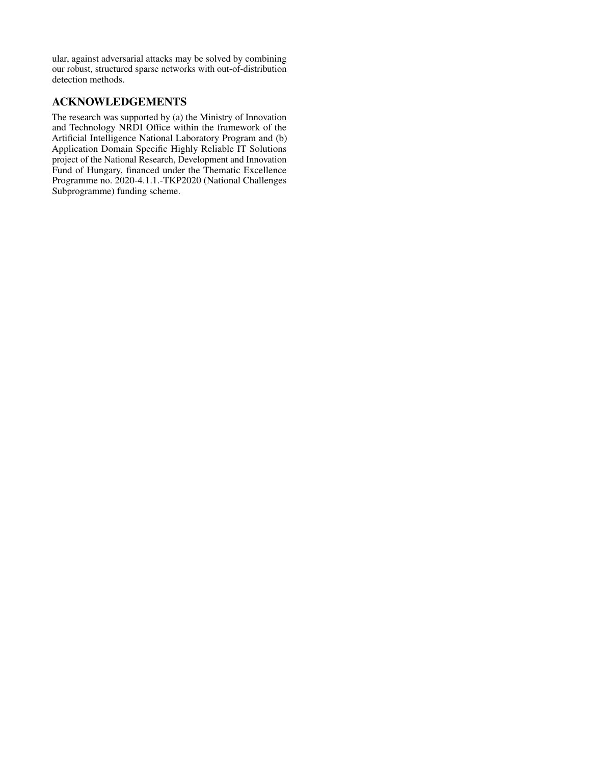ular, against adversarial attacks may be solved by combining our robust, structured sparse networks with out-of-distribution detection methods.

# ACKNOWLEDGEMENTS

The research was supported by (a) the Ministry of Innovation and Technology NRDI Office within the framework of the Artificial Intelligence National Laboratory Program and (b) Application Domain Specific Highly Reliable IT Solutions project of the National Research, Development and Innovation Fund of Hungary, financed under the Thematic Excellence Programme no. 2020-4.1.1.-TKP2020 (National Challenges Subprogramme) funding scheme.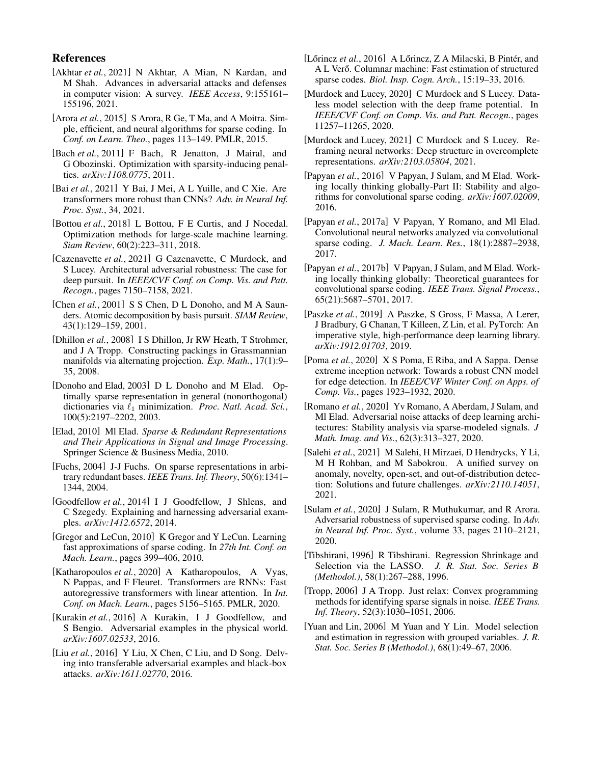# References

- <span id="page-7-24"></span>[Akhtar *et al.*, 2021] N Akhtar, A Mian, N Kardan, and M Shah. Advances in adversarial attacks and defenses in computer vision: A survey. *IEEE Access*, 9:155161– 155196, 2021.
- <span id="page-7-27"></span>[Arora *et al.*, 2015] S Arora, R Ge, T Ma, and A Moitra. Simple, efficient, and neural algorithms for sparse coding. In *Conf. on Learn. Theo.*, pages 113–149. PMLR, 2015.
- <span id="page-7-15"></span>[Bach *et al.*, 2011] F Bach, R Jenatton, J Mairal, and G Obozinski. Optimization with sparsity-inducing penalties. *arXiv:1108.0775*, 2011.
- <span id="page-7-23"></span>[Bai *et al.*, 2021] Y Bai, J Mei, A L Yuille, and C Xie. Are transformers more robust than CNNs? *Adv. in Neural Inf. Proc. Syst.*, 34, 2021.
- <span id="page-7-20"></span>[Bottou *et al.*, 2018] L Bottou, F E Curtis, and J Nocedal. Optimization methods for large-scale machine learning. *Siam Review*, 60(2):223–311, 2018.
- <span id="page-7-0"></span>[Cazenavette *et al.*, 2021] G Cazenavette, C Murdock, and S Lucey. Architectural adversarial robustness: The case for deep pursuit. In *IEEE/CVF Conf. on Comp. Vis. and Patt. Recogn.*, pages 7150–7158, 2021.
- <span id="page-7-9"></span>[Chen *et al.*, 2001] S S Chen, D L Donoho, and M A Saunders. Atomic decomposition by basis pursuit. *SIAM Review*, 43(1):129–159, 2001.
- <span id="page-7-19"></span>[Dhillon et al., 2008] I S Dhillon, Jr RW Heath, T Strohmer, and J A Tropp. Constructing packings in Grassmannian manifolds via alternating projection. *Exp. Math.*, 17(1):9– 35, 2008.
- <span id="page-7-10"></span>[Donoho and Elad, 2003] D L Donoho and M Elad. Optimally sparse representation in general (nonorthogonal) dictionaries via  $\ell_1$  minimization. *Proc. Natl. Acad. Sci.*, 100(5):2197–2202, 2003.
- <span id="page-7-7"></span>[Elad, 2010] Ml Elad. *Sparse & Redundant Representations and Their Applications in Signal and Image Processing*. Springer Science & Business Media, 2010.
- <span id="page-7-29"></span>[Fuchs, 2004] J-J Fuchs. On sparse representations in arbitrary redundant bases. *IEEE Trans. Inf. Theory*, 50(6):1341– 1344, 2004.
- <span id="page-7-1"></span>[Goodfellow *et al.*, 2014] I J Goodfellow, J Shlens, and C Szegedy. Explaining and harnessing adversarial examples. *arXiv:1412.6572*, 2014.
- <span id="page-7-4"></span>[Gregor and LeCun, 2010] K Gregor and Y LeCun. Learning fast approximations of sparse coding. In *27th Int. Conf. on Mach. Learn.*, pages 399–406, 2010.
- <span id="page-7-17"></span>[Katharopoulos *et al.*, 2020] A Katharopoulos, A Vyas, N Pappas, and F Fleuret. Transformers are RNNs: Fast autoregressive transformers with linear attention. In *Int. Conf. on Mach. Learn.*, pages 5156–5165. PMLR, 2020.
- <span id="page-7-18"></span>[Kurakin *et al.*, 2016] A Kurakin, I J Goodfellow, and S Bengio. Adversarial examples in the physical world. *arXiv:1607.02533*, 2016.
- <span id="page-7-2"></span>[Liu et al., 2016] Y Liu, X Chen, C Liu, and D Song. Delving into transferable adversarial examples and black-box attacks. *arXiv:1611.02770*, 2016.
- <span id="page-7-6"></span>[Lőrincz *et al.*, 2016] A Lőrincz, Z A Milacski, B Pintér, and A L Verő. Columnar machine: Fast estimation of structured sparse codes. *Biol. Insp. Cogn. Arch.*, 15:19–33, 2016.
- <span id="page-7-22"></span>[Murdock and Lucey, 2020] C Murdock and S Lucey. Dataless model selection with the deep frame potential. In *IEEE/CVF Conf. on Comp. Vis. and Patt. Recogn.*, pages 11257–11265, 2020.
- <span id="page-7-5"></span>[Murdock and Lucey, 2021] C Murdock and S Lucey. Reframing neural networks: Deep structure in overcomplete representations. *arXiv:2103.05804*, 2021.
- <span id="page-7-12"></span>[Papyan *et al.*, 2016] V Papyan, J Sulam, and M Elad. Working locally thinking globally-Part II: Stability and algorithms for convolutional sparse coding. *arXiv:1607.02009*, 2016.
- <span id="page-7-11"></span>[Papyan *et al.*, 2017a] V Papyan, Y Romano, and Ml Elad. Convolutional neural networks analyzed via convolutional sparse coding. *J. Mach. Learn. Res.*, 18(1):2887–2938, 2017.
- <span id="page-7-13"></span>[Papyan *et al.*, 2017b] V Papyan, J Sulam, and M Elad. Working locally thinking globally: Theoretical guarantees for convolutional sparse coding. *IEEE Trans. Signal Process.*, 65(21):5687–5701, 2017.
- <span id="page-7-16"></span>[Paszke *et al.*, 2019] A Paszke, S Gross, F Massa, A Lerer, J Bradbury, G Chanan, T Killeen, Z Lin, et al. PyTorch: An imperative style, high-performance deep learning library. *arXiv:1912.01703*, 2019.
- <span id="page-7-26"></span>[Poma *et al.*, 2020] X S Poma, E Riba, and A Sappa. Dense extreme inception network: Towards a robust CNN model for edge detection. In *IEEE/CVF Winter Conf. on Apps. of Comp. Vis.*, pages 1923–1932, 2020.
- <span id="page-7-3"></span>[Romano *et al.*, 2020] Yv Romano, A Aberdam, J Sulam, and Ml Elad. Adversarial noise attacks of deep learning architectures: Stability analysis via sparse-modeled signals. *J Math. Imag. and Vis.*, 62(3):313–327, 2020.
- <span id="page-7-25"></span>[Salehi *et al.*, 2021] M Salehi, H Mirzaei, D Hendrycks, Y Li, M H Rohban, and M Sabokrou. A unified survey on anomaly, novelty, open-set, and out-of-distribution detection: Solutions and future challenges. *arXiv:2110.14051*, 2021.
- <span id="page-7-21"></span>[Sulam *et al.*, 2020] J Sulam, R Muthukumar, and R Arora. Adversarial robustness of supervised sparse coding. In *Adv. in Neural Inf. Proc. Syst.*, volume 33, pages 2110–2121, 2020.
- <span id="page-7-8"></span>[Tibshirani, 1996] R Tibshirani. Regression Shrinkage and Selection via the LASSO. *J. R. Stat. Soc. Series B (Methodol.)*, 58(1):267–288, 1996.
- <span id="page-7-28"></span>[Tropp, 2006] J A Tropp. Just relax: Convex programming methods for identifying sparse signals in noise. *IEEE Trans. Inf. Theory*, 52(3):1030–1051, 2006.
- <span id="page-7-14"></span>[Yuan and Lin, 2006] M Yuan and Y Lin. Model selection and estimation in regression with grouped variables. *J. R. Stat. Soc. Series B (Methodol.)*, 68(1):49–67, 2006.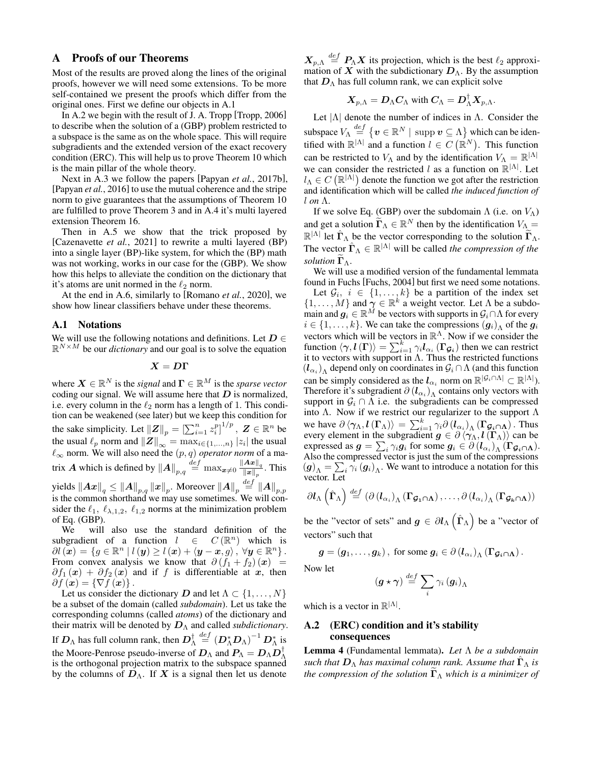# <span id="page-8-0"></span>A Proofs of our Theorems

Most of the results are proved along the lines of the original proofs, however we will need some extensions. To be more self-contained we present the proofs which differ from the original ones. First we define our objects in [A.1](#page-8-1)

In [A.2](#page-8-2) we begin with the result of J. A. Tropp [\[Tropp, 2006\]](#page-7-28) to describe when the solution of a [\(GBP\)](#page-2-0) problem restricted to a subspace is the same as on the whole space. This will require subgradients and the extended version of the exact recovery condition (ERC). This will help us to prove Theorem [10](#page-11-0) which is the main pillar of the whole theory.

Next in [A.3](#page-11-1) we follow the papers [Papyan *et al.*[, 2017b\]](#page-7-13), [\[Papyan](#page-7-12) *et al.*, 2016] to use the mutual coherence and the stripe norm to give guarantees that the assumptions of Theorem [10](#page-11-0) are fulfilled to prove Theorem [3](#page-2-1) and in [A.4](#page-14-0) it's multi layered extension Theorem [16.](#page-15-0)

Then in [A.5](#page-15-1) we show that the trick proposed by [\[Cazenavette](#page-7-0) *et al.*, 2021] to rewrite a multi layered (BP) into a single layer (BP)-like system, for which the (BP) math was not working, works in our case for the [\(GBP\)](#page-2-0). We show how this helps to alleviate the condition on the dictionary that it's atoms are unit normed in the  $\ell_2$  norm.

At the end in [A.6,](#page-16-0) similarly to [\[Romano](#page-7-3) *et al.*, 2020], we show how linear classifiers behave under these theorems.

#### <span id="page-8-1"></span>A.1 Notations

We will use the following notations and definitions. Let  $D \in$  $\mathbb{R}^{N \times M}$  be our *dictionary* and our goal is to solve the equation

$$
\boldsymbol{X} = \boldsymbol{D}\boldsymbol{\Gamma}
$$

where  $\mathbf{X} \in \mathbb{R}^N$  is the *signal* and  $\mathbf{\Gamma} \in \mathbb{R}^M$  is the *sparse vector* coding our signal. We will assume here that  $D$  is normalized, i.e. every column in the  $\ell_2$  norm has a length of 1. This condition can be weakened (see later) but we keep this condition for the sake simplicity. Let  $||Z||_p = \left[\sum_{i=1}^n z_i^p\right]^{1/p}, Z \in \mathbb{R}^n$  be the usual  $\ell_p$  norm and  $\|\boldsymbol{Z}\|_{\infty} = \max_{i \in \{1,...,n\}} |z_i|$  the usual  $\ell_{\infty}$  norm. We will also need the  $(p, q)$  *operator norm* of a matrix A which is defined by  $||A||_{p,q} \stackrel{def}{=} \max_{\bm{x}\neq 0} \frac{||A\bm{x}||_q}{||\bm{x}||_q}$  $\frac{A x_{\parallel q}}{\Vert x \Vert_p}$ . This yields  $\left\| \boldsymbol{A}\boldsymbol{x} \right\|_q \leq \left\| \boldsymbol{A} \right\|_{p,q} \left\| \boldsymbol{x} \right\|_p.$  Moreover  $\left\| \boldsymbol{A} \right\|_p \overset{def}{=} \left\| \boldsymbol{A} \right\|_{p,p}$ is the common shorthand we may use sometimes. We will consider the  $\ell_1$ ,  $\ell_{\lambda,1,2}$ ,  $\ell_{1,2}$  norms at the minimization problem of Eq. [\(GBP\)](#page-2-0).

We will also use the standard definition of the subgradient of a function  $l \in C(\mathbb{R}^n)$  which is  $\partial l\left(\overset{\cdot}{\bm{x}}\right)=\{g\in\mathbb{R}^{n}\mid l\left(\bm{y}\right)\geq l\left(\bm{x}\right)+\left\langle \bm{y}-\bm{x},g\right\rangle ,\ \forall\bm{y}\in\mathbb{R}^{n}\}\,.$ From convex analysis we know that  $\partial (f_1 + f_2)(x) =$  $\partial f_1(x) + \partial f_2(x)$  and if f is differentiable at x, then  $\partial f(\mathbf{x}) = \{\nabla f(\mathbf{x})\}.$ 

Let us consider the dictionary D and let  $\Lambda \subset \{1, \ldots, N\}$ be a subset of the domain (called *subdomain*). Let us take the corresponding columns (called *atoms*) of the dictionary and their matrix will be denoted by  $D_{\Lambda}$  and called *subdictionary*. If  $\bm{D}_\Lambda$  has full column rank, then  $\bm{D}_\Lambda^\dagger\stackrel{def}{=}(\bm{D}_\Lambda^*\bm{D}_\Lambda)^{-1}\bm{D}_\Lambda^*$  is the Moore-Penrose pseudo-inverse of  $\boldsymbol{D}_{\Lambda}$  and  $\boldsymbol{P}_{\Lambda} = \boldsymbol{D}_{\Lambda} \boldsymbol{D}_{\Lambda}^{\dagger}$ is the orthogonal projection matrix to the subspace spanned by the columns of  $D_{\Lambda}$ . If X is a signal then let us denote

 $X_{p,\Lambda} \stackrel{def}{=} P_{\Lambda} X$  its projection, which is the best  $\ell_2$  approximation of X with the subdictionary  $D_{\Lambda}$ . By the assumption that  $D_{\Lambda}$  has full column rank, we can explicit solve

$$
\mathbf{X}_{p,\Lambda}=\mathbf{D}_{\Lambda}\mathbf{C}_{\Lambda} \text{ with } \mathbf{C}_{\Lambda}=\mathbf{D}^{\dagger}_{\Lambda}\mathbf{X}_{p,\Lambda}.
$$

Let  $|\Lambda|$  denote the number of indices in  $\Lambda$ . Consider the subspace  $V_\Lambda\stackrel{def}{=}\{\bm{v}\in\mathbb{R}^N\mid \text{ supp } \bm{v}\subseteq \Lambda\}$  which can be identified with  $\mathbb{R}^{|\Lambda|}$  and a function  $l \in C(\mathbb{R}^N)$ . This function can be restricted to  $V_{\Lambda}$  and by the identification  $V_{\Lambda} = \mathbb{R}^{|\Lambda|}$ we can consider the restricted l as a function on  $\mathbb{R}^{|\Lambda|}$ . Let  $l_{\Lambda} \in C(\mathbb{R}^{|\Lambda|})$  denote the function we got after the restriction and identification which will be called *the induced function of* l *on* Λ.

If we solve Eq. [\(GBP\)](#page-2-0) over the subdomain  $\Lambda$  (i.e. on  $V_{\Lambda}$ ) and get a solution  $\widetilde{\Gamma}_{\Lambda} \in \mathbb{R}^N$  then by the identification  $V_{\Lambda} =$  $\mathbb{R}^{|\Lambda|}$  let  $\hat{\Gamma}_{\Lambda}$  be the vector corresponding to the solution  $\tilde{\Gamma}_{\Lambda}$ . The vector  $\hat{\Gamma}_{\Lambda} \in \mathbb{R}^{|\Lambda|}$  will be called *the compression of the solution*  $\Gamma_{\Lambda}$ .

<span id="page-8-4"></span>We will use a modified version of the fundamental lemmata found in Fuchs [\[Fuchs, 2004\]](#page-7-29) but first we need some notations. Let  $\mathcal{G}_i$ ,  $i \in \{1, \ldots, k\}$  be a partition of the index set  $\{1, \ldots, M\}$  and  $\gamma \in \mathbb{R}^k$  a weight vector. Let  $\Lambda$  be a subdomain and  $g_i \in \mathbb{R}^M$  be vectors with supports in  $\mathcal{G}_i \cap \Lambda$  for every  $i \in \{1, \ldots, k\}$ . We can take the compressions  $(g_i)_{\Lambda}$  of the  $g_i$ vectors which will be vectors in  $\mathbb{R}^{\Lambda}$ . Now if we consider the function  $\langle \gamma, l(\Gamma) \rangle = \sum_{i=1}^k \gamma_i l_{\alpha_i}(\Gamma_{\mathcal{G}_i})$  then we can restrict it to vectors with support in  $\Lambda$ . Thus the restricted functions  $(l_{\alpha_i})_\Lambda$  depend only on coordinates in  $\mathcal{G}_i \cap \Lambda$  (and this function can be simply considered as the  $l_{\alpha_i}$  norm on  $\mathbb{R}^{|\mathcal{G}_i \cap \Lambda|} \subset \mathbb{R}^{|\Lambda|}$ . Therefore it's subgradient  $\partial (l_{\alpha_i})$ <sub>Λ</sub> contains only vectors with support in  $\mathcal{G}_i \cap \Lambda$  i.e. the subgradients can be compressed into Λ. Now if we restrict our regularizer to the support  $Λ$ we have  $\partial \langle \gamma_\Lambda, l(\Gamma_\Lambda) \rangle = \sum_{i=1}^k \gamma_i \partial (l_{\alpha_i})_\Lambda (\Gamma g_i \cap \Lambda)$ . Thus every element in the subgradient  $g \in \partial \langle \gamma_\Lambda, l(\Gamma_\Lambda) \rangle$  can be expressed as  $g = \sum_i \gamma_i g_i$  for some  $g_i \in \partial \left( l_{\alpha_i} \right)_{\Lambda} (\Gamma_{\mathcal{G}_i \cap \Lambda}).$ Also the compressed vector is just the sum of the compressions  $(g)$ <sub>Λ</sub> =  $\sum_i \gamma_i (g_i)$ <sub>Λ</sub>. We want to introduce a notation for this vector. Let

$$
\partial l_{\Lambda}(\hat{\Gamma}_{\Lambda}) \stackrel{def}{=} (\partial (l_{\alpha_i})_{\Lambda} (\Gamma_{\mathcal{G}_1 \cap \Lambda}), \ldots, \partial (l_{\alpha_i})_{\Lambda} (\Gamma_{\mathcal{G}_k \cap \Lambda}))
$$

be the "vector of sets" and  $g \in \partial l_{\Lambda}(\hat{\Gamma}_{\Lambda})$  be a "vector of vectors" such that

$$
\boldsymbol{g} = \left(\boldsymbol{g}_1,\ldots,\boldsymbol{g}_k\right), \text{ for some } \boldsymbol{g}_i \in \partial \left(l_{\alpha_i}\right)_{\Lambda} \left(\boldsymbol{\Gamma}_{\boldsymbol{\mathcal{G}}_i \cap \Lambda}\right).
$$

Now let

$$
\left(\boldsymbol{g}\star\boldsymbol{\gamma}\right)\overset{def}{=}\sum_{i}\gamma_{i}\left(\boldsymbol{g}_{i}\right)_{\Lambda}
$$

which is a vector in  $\mathbb{R}^{|\Lambda|}$ .

# <span id="page-8-2"></span>A.2 (ERC) condition and it's stability consequences

<span id="page-8-3"></span>Lemma 4 (Fundamental lemmata). *Let* Λ *be a subdomain such that*  $D_{\Lambda}$  *has maximal column rank. Assume that*  $\Gamma_{\Lambda}$  *is the compression of the solution*  $\Gamma_{\Lambda}$  *which is a minimizer of*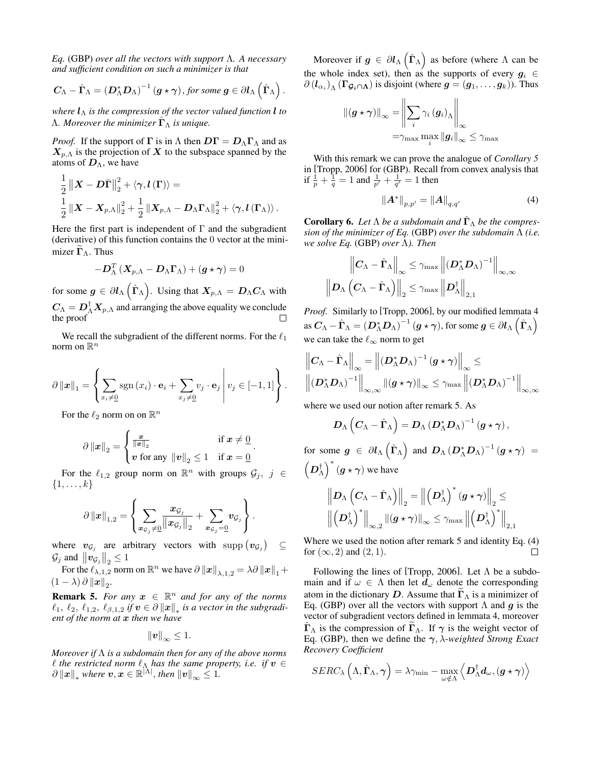*Eq.* [\(GBP\)](#page-2-0) *over all the vectors with support* Λ*. A necessary and sufficient condition on such a minimizer is that*

$$
C_{\Lambda}-\hat{\Gamma}_{\Lambda}=\left(D_{\Lambda}^{*}D_{\Lambda}\right)^{-1}(g\star\gamma), \text{ for some }g\in\partial l_{\Lambda}\left(\hat{\Gamma}_{\Lambda}\right).
$$

*where*  $l_{\Lambda}$  *is the compression of the vector valued function*  $l$  *to*  $Λ.$  *Moreover the minimizer*  $\hat{\mathbf{\Gamma}}_{Λ}$  *is unique.* 

*Proof.* If the support of  $\Gamma$  is in  $\Lambda$  then  $D\Gamma = D_{\Lambda}\Gamma_{\Lambda}$  and as  $X_{p,\Lambda}$  is the projection of X to the subspace spanned by the atoms of  $D_{\Lambda}$ , we have

$$
\begin{aligned} &\frac{1}{2}\left\|\boldsymbol{X}-\boldsymbol{D}\bar{\boldsymbol{\Gamma}}\right\|_{2}^{2}+\left\langle \boldsymbol{\gamma},\boldsymbol{l}\left(\boldsymbol{\Gamma}\right)\right\rangle = \\ &\frac{1}{2}\left\|\boldsymbol{X}-\boldsymbol{X}_{p,\Lambda}\right\|_{2}^{2}+\frac{1}{2}\left\|\boldsymbol{X}_{p,\Lambda}-\boldsymbol{D}_{\Lambda}\boldsymbol{\Gamma}_{\Lambda}\right\|_{2}^{2}+\left\langle \boldsymbol{\gamma},\boldsymbol{l}\left(\boldsymbol{\Gamma}_{\Lambda}\right)\right\rangle . \end{aligned}
$$

Here the first part is independent of  $\Gamma$  and the subgradient (derivative) of this function contains the 0 vector at the minimizer  $\Gamma_{\Lambda}$ . Thus

$$
-\boldsymbol{D}_{\Lambda}^T\left(\boldsymbol{X}_{p,\Lambda}-\boldsymbol{D}_{\Lambda}\boldsymbol{\Gamma}_{\Lambda}\right)+\left(\boldsymbol{g}\star\boldsymbol{\gamma}\right)=0
$$

for some  $g \in \partial l_{\Lambda}(\hat{\Gamma}_{\Lambda})$ . Using that  $X_{p,\Lambda} = D_{\Lambda} C_{\Lambda}$  with  $C_{\Lambda} = D_{\Lambda}^{\dagger} X_{p,\Lambda}$  and arranging the above equality we conclude the proof

We recall the subgradient of the different norms. For the  $\ell_1$ norm on  $\mathbb{R}^n$ 

$$
\partial ||\boldsymbol{x}||_1 = \left\{ \sum_{x_i \neq 0} \text{sgn}(x_i) \cdot \mathbf{e}_i + \sum_{x_j \neq 0} v_j \cdot \mathbf{e}_j \middle| v_j \in [-1, 1] \right\}.
$$

For the  $\ell_2$  norm on on  $\mathbb{R}^n$ 

$$
\partial \|x\|_2 = \begin{cases} \frac{x}{\|x\|_2} & \text{if } x \neq \underline{0} \\ v \text{ for any } \|v\|_2 \leq 1 & \text{if } x = \underline{0} \end{cases}.
$$

For the  $\ell_{1,2}$  group norm on  $\mathbb{R}^n$  with groups  $\mathcal{G}_j$ ,  $j \in \mathcal{G}_j$  $\{1,\ldots,k\}$ 

$$
\partial\left\|\bm{x}\right\|_{1,2}=\left\{\sum_{\bm{x}_{\mathcal{G}_j}\neq\underline{0}}\frac{\bm{x}_{\mathcal{G}_j}}{\left\|\bm{x}_{\mathcal{G}_j}\right\|_2}+\sum_{\bm{x}_{\mathcal{G}_j}=\underline{0}}\bm{v}_{\mathcal{G}_j}\right\}.
$$

where  $v_{\mathcal{G}_j}$  are arbitrary vectors with supp  $(v_{\mathcal{G}_j})$ ⊆  $\mathcal{G}_j$  and  $||\mathbf{v}_{\mathcal{G}_j}||_2 \leq 1$ 

For the  $\ell_{\lambda,1,2}$  norm on  $\mathbb{R}^n$  we have  $\partial ||x||_{\lambda,1,2} = \lambda \partial ||x||_1 +$  $(1 - \lambda) \partial ||x||_2.$ 

<span id="page-9-0"></span>**Remark 5.** For any  $x \in \mathbb{R}^n$  and for any of the norms  $\ell_1, \ \ell_2, \ \ell_{1,2}, \ \ell_{\beta,1,2}$  *if*  $\boldsymbol{v} \in \partial \left\|\boldsymbol{x}\right\|_*$  *is a vector in the subgradient of the norm at* x *then we have*

$$
\|\bm{v}\|_{\infty}\leq 1.
$$

*Moreover if* Λ *is a subdomain then for any of the above norms*  $\ell$  *the restricted norm*  $\ell_{\Lambda}$  *has the same property, i.e. if*  $v \in$  $\partial \|x\|_*$  where  $v, x \in \mathbb{R}^{|\tilde{\Lambda}|},$  then  $\|v\|_{\infty} \leq 1$ .

Moreover if  $g \in \partial l_{\Lambda}(\hat{\Gamma}_{\Lambda})$  as before (where  $\Lambda$  can be the whole index set), then as the supports of every  $g_i \in$  $\partial$   $(l_{\alpha_i})$ <sub>Λ</sub> ( $\Gamma$  $g_i \cap$ **Λ**) is disjoint (where  $g = (g_1, \ldots, g_k)$ ). Thus

$$
\begin{aligned} \left\| \left(\boldsymbol{g} \star \boldsymbol{\gamma} \right) \right\|_{\infty} &= \left\| \sum_{i} \gamma_{i} \left(\boldsymbol{g}_{i} \right)_{\Lambda} \right\|_{\infty} \\ &= & \gamma_{\max} \max_{i} \left\| \boldsymbol{g}_{i} \right\|_{\infty} \leq \gamma_{\max} \end{aligned}
$$

With this remark we can prove the analogue of *Corollary 5* in [\[Tropp, 2006\]](#page-7-28) for [\(GBP\)](#page-2-0). Recall from convex analysis that if  $\frac{1}{p} + \frac{1}{q} = 1$  and  $\frac{1}{p'} + \frac{1}{q'} = 1$  then

$$
||A^*||_{p,p'} = ||A||_{q,q'}
$$
 (4)

<span id="page-9-1"></span>**Corollary 6.** Let  $\Lambda$  be a subdomain and  $\hat{\Gamma}_{\Lambda}$  be the compres*sion of the minimizer of Eq.* [\(GBP\)](#page-2-0) *over the subdomain* Λ *(i.e. we solve Eq.* [\(GBP\)](#page-2-0) *over* Λ*). Then*

$$
\left\| \boldsymbol{C}_{\Lambda} - \hat{\boldsymbol{\Gamma}}_{\Lambda} \right\|_{\infty} \leq \gamma_{\max} \left\| \left( \boldsymbol{D}_{\Lambda}^* \boldsymbol{D}_{\Lambda} \right)^{-1} \right\|_{\infty,\infty} \\ \left\| \boldsymbol{D}_{\Lambda} \left( \boldsymbol{C}_{\Lambda} - \hat{\boldsymbol{\Gamma}}_{\Lambda} \right) \right\|_2 \leq \gamma_{\max} \left\| \boldsymbol{D}_{\Lambda}^{\dagger} \right\|_{2,1}
$$

*Proof.* Similarly to [\[Tropp, 2006\]](#page-7-28), by our modified lemmata [4](#page-8-3) as  $C_{\Lambda} - \hat{\Gamma}_{\Lambda} = (D_{\Lambda}^* D_{\Lambda})^{-1} (g \star \gamma)$ , for some  $g \in \partial l_{\Lambda} (\hat{\Gamma}_{\Lambda})$ we can take the  $\ell_{\infty}$  norm to get

$$
\left\| C_{\Lambda} - \hat{\Gamma}_{\Lambda} \right\|_{\infty} = \left\| \left( D_{\Lambda}^{*} D_{\Lambda} \right)^{-1} \left( g \star \gamma \right) \right\|_{\infty} \le
$$
  

$$
\left\| \left( D_{\Lambda}^{*} D_{\Lambda} \right)^{-1} \right\|_{\infty, \infty} \left\| \left( g \star \gamma \right) \right\|_{\infty} \leq \gamma_{\max} \left\| \left( D_{\Lambda}^{*} D_{\Lambda} \right)^{-1} \right\|_{\infty, \infty}
$$

where we used our notion after remark [5.](#page-9-0) As

$$
\boldsymbol{D}_{\Lambda}\left(\boldsymbol{C}_{\Lambda}-\hat{\boldsymbol{\Gamma}}_{\Lambda}\right)=\boldsymbol{D}_{\Lambda}\left(\boldsymbol{D}_{\Lambda}^{*}\boldsymbol{D}_{\Lambda}\right)^{-1}\left(\boldsymbol{g}\star\boldsymbol{\gamma}\right),
$$

for some  $g \in \partial l_{\Lambda}(\hat{\Gamma}_{\Lambda})$  and  $D_{\Lambda} (D_{\Lambda}^* D_{\Lambda})^{-1} (g \star \gamma) =$  $(D_\Lambda^\dagger)^*(g \star \gamma)$  we have

$$
\left\| D_{\Lambda} \left( C_{\Lambda} - \hat{\boldsymbol{\Gamma}}_{\Lambda} \right) \right\|_2 = \left\| \left( D_{\Lambda}^{\dagger} \right)^* \left( \boldsymbol{g} \star \boldsymbol{\gamma} \right) \right\|_2 \leq \\ \left\| \left( D_{\Lambda}^{\dagger} \right)^* \right\|_{\infty,2} \left\| \left( \boldsymbol{g} \star \boldsymbol{\gamma} \right) \right\|_{\infty} \leq \gamma_{\max} \left\| \left( D_{\Lambda}^{\dagger} \right)^* \right\|_{2,1}
$$

Where we used the notion after remark [5](#page-9-0) and identity Eq. [\(4\)](#page-8-4) for  $(\infty, 2)$  and  $(2, 1)$ . П

Following the lines of [\[Tropp, 2006\]](#page-7-28). Let  $\Lambda$  be a subdomain and if  $\omega \in \Lambda$  then let  $d_{\omega}$  denote the corresponding atom in the dictionary D. Assume that  $\tilde{\Gamma}_{\Lambda}$  is a minimizer of Eq. [\(GBP\)](#page-2-0) over all the vectors with support  $\Lambda$  and  $g$  is the vector of subgradient vectors defined in lemmata [4,](#page-8-3) moreover  $\Gamma_{\Lambda}$  is the compression of  $\Gamma_{\Lambda}$ . If  $\gamma$  is the weight vector of Eq. [\(GBP\)](#page-2-0), then we define the γ, λ-*weighted Strong Exact Recovery Coefficient*

$$
SERC_{\lambda}\left(\Lambda,\hat{\boldsymbol{\Gamma}}_{\Lambda},\boldsymbol{\gamma}\right)=\lambda\gamma_{\min}-\max_{\omega\notin\Lambda}\left\langle \boldsymbol{D}_{\Lambda}^{\dagger}\boldsymbol{d}_{\omega},\left(\boldsymbol{g}\star\boldsymbol{\gamma}\right)\right\rangle
$$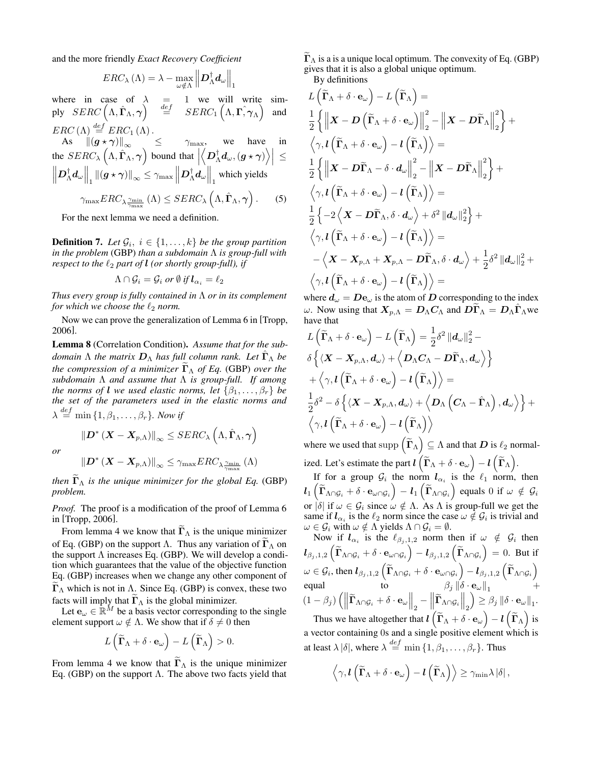and the more friendly *Exact Recovery Coefficient*

$$
ERC_{\lambda}(\Lambda) = \lambda - \max_{\omega \notin \Lambda} \left\| \mathbf{D}_{\Lambda}^{\dagger} \mathbf{d}_{\omega} \right\|_{1}
$$

where in case of  $\lambda = 1$  we will write sim- $\begin{array}{rcl} \text{ply} & \text{SERC}\left(\Lambda,\hat{\boldsymbol{\Gamma}}_{\Lambda},\boldsymbol{\gamma}\right) & \stackrel{def}{=} & \text{SERC}_1\left(\Lambda,\boldsymbol{\Gamma},\boldsymbol{\gamma}_{\Lambda}\right) \end{array}$ and  $ERC(\Lambda) \stackrel{def}{=} ERC_1(\Lambda)$ .

As 
$$
\left\| (\boldsymbol{g} \star \boldsymbol{\gamma}) \right\|_{\infty} \leq \gamma_{\max}
$$
, we have in  
the  $SERC_{\lambda} (\Lambda, \hat{\boldsymbol{\Gamma}}_{\Lambda}, \boldsymbol{\gamma})$  bound that  $\left| \left\langle \boldsymbol{D}_{\Lambda}^{\dagger} d_{\omega}, (\boldsymbol{g} \star \boldsymbol{\gamma}) \right\rangle \right| \leq$   
 $\left\| \boldsymbol{D}_{\Lambda}^{\dagger} d_{\omega} \right\|_{1} \left\| (\boldsymbol{g} \star \boldsymbol{\gamma}) \right\|_{\infty} \leq \gamma_{\max} \left\| \boldsymbol{D}_{\Lambda}^{\dagger} d_{\omega} \right\|_{1}$  which yields  
 $\gamma_{\max}ERC_{\lambda} \frac{\gamma_{\min}}{\gamma_{\max}} (\Lambda) \leq SERC_{\lambda} (\Lambda, \hat{\boldsymbol{\Gamma}}_{\Lambda}, \boldsymbol{\gamma}).$  (5)

For the next lemma we need a definition.

**Definition 7.** Let  $\mathcal{G}_i$ ,  $i \in \{1, \ldots, k\}$  be the group partition *in the problem* [\(GBP\)](#page-2-0) *than a subdomain* Λ *is group-full with respect to the*  $\ell_2$  *part of* **l** *(or shortly group-full), if* 

$$
\Lambda \cap \mathcal{G}_i = \mathcal{G}_i \text{ or } \emptyset \text{ if } \mathbf{l}_{\alpha_i} = \ell_2
$$

*Thus every group is fully contained in* Λ *or in its complement for which we choose the*  $\ell_2$  *norm.* 

Now we can prove the generalization of Lemma 6 in [\[Tropp,](#page-7-28) [2006\]](#page-7-28).

<span id="page-10-1"></span>Lemma 8 (Correlation Condition). *Assume that for the subdomain*  $\Lambda$  *the matrix*  $\mathbf{D}_{\Lambda}$  *has full column rank. Let*  $\hat{\mathbf{\Gamma}}_{\Lambda}$  *be the compression of a minimizer*  $\widetilde{\mathbf{\Gamma}}_{\Lambda}$  *of Eq.* [\(GBP\)](#page-2-0) *over the subdomain* Λ *and assume that* Λ *is group-full. If among the norms of l we used elastic norms, let*  $\{\beta_1, \ldots, \beta_r\}$  *be the set of the parameters used in the elastic norms and*  $\lambda \stackrel{def}{=} \min\left\{1, \beta_1, \ldots, \beta_r\right\}$ *. Now if* 

*or*

$$
\left\|\bm{D}^{*}\left(\bm{X}-\bm{X}_{p,\Lambda}\right)\right\|_{\infty}\leq\gamma_{\max}ERC_{\lambda}\frac{\gamma_{\min}}{\gamma_{\max}}\left(\Lambda\right)
$$

 $\left\Vert \boldsymbol{D}^{\ast}\left(\boldsymbol{X}-\boldsymbol{X}_{p,\Lambda}\right)\right\Vert _{\infty}\leq SERC_{\lambda}\left(\Lambda,\hat{\boldsymbol{\Gamma}}_{\Lambda},\boldsymbol{\gamma}\right)$ 

*then*  $\Gamma_{\Lambda}$  *is the unique minimizer for the global Eq.* [\(GBP\)](#page-2-0) *problem.*

*Proof.* The proof is a modification of the proof of Lemma 6 in [\[Tropp, 2006\]](#page-7-28).

From lemma [4](#page-8-3) we know that  $\Gamma_{\Lambda}$  is the unique minimizer of Eq. [\(GBP\)](#page-2-0) on the support  $\Lambda$ . Thus any variation of  $\tilde{\Gamma}_{\Lambda}$  on the support  $\Lambda$  increases Eq. [\(GBP\)](#page-2-0). We will develop a condition which guarantees that the value of the objective function Eq. [\(GBP\)](#page-2-0) increases when we change any other component of  $\Gamma_{\Lambda}$  which is not in Λ. Since Eq. [\(GBP\)](#page-2-0) is convex, these two

facts will imply that  $\Gamma_{\Lambda}$  is the global minimizer.<br>Let  $\mathbf{e}_{\omega} \in \mathbb{R}^{M}$  be a basis vector corresponding to the single element support  $\omega \notin \Lambda$ . We show that if  $\delta \neq 0$  then

$$
L\left(\widetilde{\mathbf{\Gamma}}_{\Lambda}+\delta\cdot\mathbf{e}_{\omega}\right)-L\left(\widetilde{\mathbf{\Gamma}}_{\Lambda}\right)>0.
$$

From lemma [4](#page-8-3) we know that  $\tilde{\Gamma}_{\Lambda}$  is the unique minimizer Eq. [\(GBP\)](#page-2-0) on the support Λ. The above two facts yield that  $\Gamma_{\Lambda}$  is a is a unique local optimum. The convexity of Eq. [\(GBP\)](#page-2-0) gives that it is also a global unique optimum.

By definitions  $\sim$ 

<span id="page-10-0"></span>
$$
L\left(\widetilde{\Gamma}_{\Lambda} + \delta \cdot \mathbf{e}_{\omega}\right) - L\left(\widetilde{\Gamma}_{\Lambda}\right) =
$$
\n
$$
\frac{1}{2}\left\{\left\|\mathbf{X} - \mathbf{D}\left(\widetilde{\Gamma}_{\Lambda} + \delta \cdot \mathbf{e}_{\omega}\right)\right\|_{2}^{2} - \left\|\mathbf{X} - \mathbf{D}\widetilde{\Gamma}_{\Lambda}\right\|_{2}^{2}\right\} +
$$
\n
$$
\left\langle \gamma, l\left(\widetilde{\Gamma}_{\Lambda} + \delta \cdot \mathbf{e}_{\omega}\right) - l\left(\widetilde{\Gamma}_{\Lambda}\right)\right\rangle =
$$
\n
$$
\frac{1}{2}\left\{\left\|\mathbf{X} - \mathbf{D}\widetilde{\Gamma}_{\Lambda} - \delta \cdot d_{\omega}\right\|_{2}^{2} - \left\|\mathbf{X} - \mathbf{D}\widetilde{\Gamma}_{\Lambda}\right\|_{2}^{2}\right\} +
$$
\n
$$
\left\langle \gamma, l\left(\widetilde{\Gamma}_{\Lambda} + \delta \cdot \mathbf{e}_{\omega}\right) - l\left(\widetilde{\Gamma}_{\Lambda}\right)\right\rangle =
$$
\n
$$
\frac{1}{2}\left\{-2\left\langle \mathbf{X} - \mathbf{D}\widetilde{\Gamma}_{\Lambda}, \delta \cdot d_{\omega}\right\rangle + \delta^{2} \left\|d_{\omega}\right\|_{2}^{2}\right\} +
$$
\n
$$
\left\langle \gamma, l\left(\widetilde{\Gamma}_{\Lambda} + \delta \cdot \mathbf{e}_{\omega}\right) - l\left(\widetilde{\Gamma}_{\Lambda}\right)\right\rangle =
$$
\n
$$
-\left\langle \mathbf{X} - \mathbf{X}_{p,\Lambda} + \mathbf{X}_{p,\Lambda} - \mathbf{D}\widetilde{\Gamma}_{\Lambda}, \delta \cdot d_{\omega}\right\rangle + \frac{1}{2}\delta^{2} \left\|d_{\omega}\right\|_{2}^{2} +
$$
\n
$$
\left\langle \gamma, l\left(\widetilde{\Gamma}_{\Lambda} + \delta \cdot \mathbf{e}_{\omega}\right) - l\left(\widetilde{\Gamma}_{\Lambda}\right)\right\rangle =
$$

where  $d_{\omega} = De_{\omega}$  is the atom of D corresponding to the index ω. Now using that  $X_{p,\Lambda} = D_{\Lambda} C_{\Lambda}$  and  $D\Gamma_{\Lambda} = D_{\Lambda} \hat{\Gamma}_{\Lambda}$  we have that

$$
\begin{split} &L\left(\widetilde{\boldsymbol{\Gamma}}_{\Lambda}+\delta\cdot\mathbf{e}_{\omega}\right)-L\left(\widetilde{\boldsymbol{\Gamma}}_{\Lambda}\right)=\frac{1}{2}\delta^{2}\left\|\boldsymbol{d}_{\omega}\right\|_{2}^{2}-\\ &\delta\left\{\left\langle \boldsymbol{X}-\boldsymbol{X}_{p,\Lambda},\boldsymbol{d}_{\omega}\right\rangle+\left\langle \boldsymbol{D}_{\Lambda}\boldsymbol{C}_{\Lambda}-\boldsymbol{D}\widetilde{\boldsymbol{\Gamma}}_{\Lambda},\boldsymbol{d}_{\omega}\right\rangle\right\}\\ &+\left\langle \gamma,l\left(\widetilde{\boldsymbol{\Gamma}}_{\Lambda}+\delta\cdot\mathbf{e}_{\omega}\right)-l\left(\widetilde{\boldsymbol{\Gamma}}_{\Lambda}\right)\right\rangle=\\ &\frac{1}{2}\delta^{2}-\delta\left\{\left\langle \boldsymbol{X}-\boldsymbol{X}_{p,\Lambda},\boldsymbol{d}_{\omega}\right\rangle+\left\langle \boldsymbol{D}_{\Lambda}\left(\boldsymbol{C}_{\Lambda}-\hat{\boldsymbol{\Gamma}}_{\Lambda}\right),\boldsymbol{d}_{\omega}\right\rangle\right\}+\\ &\left\langle \gamma,l\left(\widetilde{\boldsymbol{\Gamma}}_{\Lambda}+\delta\cdot\mathbf{e}_{\omega}\right)-l\left(\widetilde{\boldsymbol{\Gamma}}_{\Lambda}\right)\right\rangle \end{split}
$$

where we used that  $\text{supp}(\tilde{\Gamma}_{\Lambda}) \subseteq \Lambda$  and that  $D$  is  $\ell_2$  normalized. Let's estimate the part  $\bm{l} \left( \widetilde{\bm{\Gamma}}_\Lambda + \delta \cdot \mathbf{e}_\omega \right) - \bm{l} \left( \widetilde{\bm{\Gamma}}_\Lambda \right)$ .

If for a group  $\mathcal{G}_i$  the norm  $l_{\alpha_i}$  is the  $\ell_1$  norm, then  $\bm{l}_1\left(\widetilde{\bm{\Gamma}}_{\Lambda\cap\mathcal{G}_i} + \delta\cdot\mathbf{e}_{\omega\cap\mathcal{G}_i}\right) - \bm{l}_1\left(\widetilde{\bm{\Gamma}}_{\Lambda\cap\mathcal{G}_i}\right)$  equals 0 if  $\omega \notin \mathcal{G}_i$ or  $|\delta|$  if  $\omega \in \mathcal{G}_i$  since  $\omega \notin \Lambda$ . As  $\Lambda$  is group-full we get the same if  $l_{\alpha_i}$  is the  $\ell_2$  norm since the case  $\omega \notin \mathcal{G}_i$  is trivial and  $\omega \in \mathcal{G}_i$  with  $\omega \notin \Lambda$  yields  $\Lambda \cap \mathcal{G}_i = \emptyset$ .

Now if  $l_{\alpha_i}$  is the  $\ell_{\beta_j,1,2}$  norm then if  $\omega \notin \mathcal{G}_i$  then  $\bm{l}_{\beta_j,1,2}\left(\widetilde{\bm{\Gamma}}_{\Lambda\cap\mathcal{G}_i} + \delta\cdot \mathbf{e}_{\omega\cap\mathcal{G}_i}\right) - \bm{l}_{\beta_j,1,2}\left(\widetilde{\bm{\Gamma}}_{\Lambda\cap\mathcal{G}_i}\right) = 0. \hspace{0.2cm} \text{But if}$  $\omega \in \mathcal{G}_i$ , then  $l_{\beta_j,1,2}\left(\widetilde{\boldsymbol{\Gamma}}_{\Lambda \cap \mathcal{G}_i} + \delta \cdot \boldsymbol{e}_{\omega \cap \mathcal{G}_i}\right) - l_{\beta_j,1,2}\left(\widetilde{\boldsymbol{\Gamma}}_{\Lambda \cap \mathcal{G}_i}\right)$ equal to  $\beta_j \|\delta \cdot \mathbf{e}_{\omega}\|_1$  +  $(1-\beta_j) \left( \left\| \widetilde{\boldsymbol{\Gamma}}_{\Lambda \cap \mathcal{G}_i} + \delta \cdot \mathbf{e}_{\omega} \right\|_2 - \left\| \widetilde{\boldsymbol{\Gamma}}_{\Lambda \cap \mathcal{G}_i} \right\|_2 \right)$  $\Big) \geq \beta_j \, \|\delta \cdot \mathbf{e}_{\omega}\|_1.$ Thus we have altogether that  $l\left(\widetilde{\Gamma}_\Lambda+\delta\cdot \mathbf{e}_\omega\right)-l\left(\widetilde{\Gamma}_\Lambda\right)$  is

a vector containing 0s and a single positive element which is at least  $\lambda |\delta|$ , where  $\lambda \stackrel{def}{=} \min \{1, \beta_1, \ldots, \beta_r\}$ . Thus

$$
\left\langle \gamma, \boldsymbol{l} \left( \widetilde{\boldsymbol{\Gamma}}_{\Lambda} + \delta \cdot \mathbf{e}_{\omega} \right) - \boldsymbol{l} \left( \widetilde{\boldsymbol{\Gamma}}_{\Lambda} \right) \right\rangle \geq \gamma_{\min} \lambda \left| \delta \right|,
$$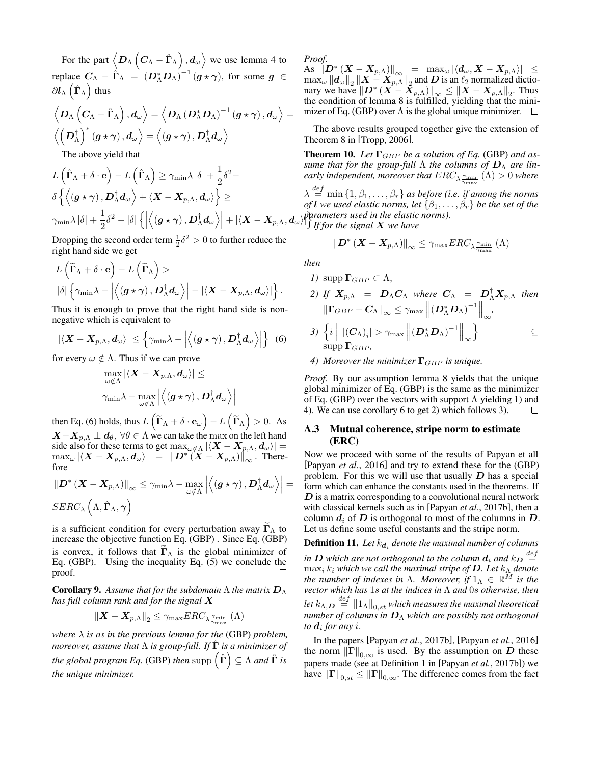For the part  $\left\langle D_\Lambda\left(C_\Lambda-\hat\Gamma_\Lambda\right),d_\omega\right\rangle$  we use lemma [4](#page-8-3) to replace  $C_{\Lambda} - \hat{\Gamma}_{\Lambda} = (D_{\Lambda}^* D_{\Lambda})^{-1} (g \star \gamma)$ , for some  $g \in$  $\partial \bm{l}_\Lambda\left(\hat{\bm{\Gamma}}_\Lambda\right)$  thus

$$
\left\langle D_\Lambda\left(C_\Lambda-\hat\Gamma_\Lambda\right),d_\omega\right\rangle=\left\langle D_\Lambda\left(D_\Lambda^*D_\Lambda\right)^{-1}(g\star\gamma)\,,d_\omega\right\rangle=\\\\left\langle \left(D_\Lambda^\dagger\right)^*(g\star\gamma),d_\omega\right\rangle=\left\langle (g\star\gamma),D_\Lambda^\dagger d_\omega\right\rangle
$$

The above yield that

$$
\begin{aligned} &L\left(\hat{\boldsymbol{\Gamma}}_{\Lambda}+\delta\cdot\mathbf{e}\right)-L\left(\hat{\boldsymbol{\Gamma}}_{\Lambda}\right)\geq\gamma_{\min}\lambda\left|\delta\right|+\frac{1}{2}\delta^{2}-\\ &\delta\left\{\left\langle\left(\boldsymbol{g}\star\boldsymbol{\gamma}\right),\boldsymbol{D}_{\Lambda}^{\dagger}\boldsymbol{d}_{\omega}\right\rangle+\left\langle\boldsymbol{X}-\boldsymbol{X}_{p,\Lambda},\boldsymbol{d}_{\omega}\right\rangle\right\}\geq\\ &\gamma_{\min}\lambda\left|\delta\right|+\frac{1}{2}\delta^{2}-\left|\delta\right|\left\{\left|\left\langle\left(\boldsymbol{g}\star\boldsymbol{\gamma}\right),\boldsymbol{D}_{\Lambda}^{\dagger}\boldsymbol{d}_{\omega}\right\rangle\right|+\left|\left\langle\boldsymbol{X}-\boldsymbol{X}_{p,\Lambda},\boldsymbol{d}_{\Omega}\right\rangle\right|\right\}\end{aligned}
$$

Dropping the second order term  $\frac{1}{2}\delta^2 > 0$  to further reduce the right hand side we get

$$
\begin{aligned} &L\left(\widetilde{\boldsymbol{\Gamma}}_{\Lambda}+\delta\cdot\mathbf{e}\right)-L\left(\widetilde{\boldsymbol{\Gamma}}_{\Lambda}\right)>\ &\left|\delta\right|\left\{\gamma_{\min}\lambda-\left|\left\langle \left(\boldsymbol{g}\star\boldsymbol{\gamma}\right),\boldsymbol{D}_{\Lambda}^{\dagger}\boldsymbol{d}_{\omega}\right\rangle \right|-\left|\left\langle \boldsymbol{X}-\boldsymbol{X}_{p,\Lambda},\boldsymbol{d}_{\omega}\right\rangle \right|\right\}.\end{aligned}
$$

Thus it is enough to prove that the right hand side is nonnegative which is equivalent to

$$
|\langle \boldsymbol{X} - \boldsymbol{X}_{p,\Lambda}, \boldsymbol{d}_{\omega} \rangle| \leq \left\{ \gamma_{\min} \lambda - \left| \left\langle \left( \boldsymbol{g} \star \boldsymbol{\gamma} \right) , \boldsymbol{D}_{\Lambda}^{\dagger} \boldsymbol{d}_{\omega} \right\rangle \right| \right\} \tag{6}
$$

for every  $\omega \notin \Lambda$ . Thus if we can prove

<span id="page-11-2"></span>
$$
\max_{\omega \notin \Lambda} \left| \left\langle \boldsymbol{X} - \boldsymbol{X}_{p,\Lambda}, \boldsymbol{d}_{\omega} \right\rangle \right| \leq \\ \gamma_{\min} \lambda - \max_{\omega \notin \Lambda} \left| \left\langle \left( \boldsymbol{g} \star \boldsymbol{\gamma} \right) , \boldsymbol{D}^\dagger_\Lambda \boldsymbol{d}_{\omega} \right\rangle \right|
$$

then Eq. [\(6\)](#page-11-2) holds, thus  $L\left(\widetilde{\boldsymbol{\Gamma}}_{\Lambda}+\delta\cdot\boldsymbol{e}_{\omega}\right)-L\left(\widetilde{\boldsymbol{\Gamma}}_{\Lambda}\right)>0.$  As  $\mathbf{X}-\mathbf{X}_{p,\Lambda} \perp \mathbf{d}_{\theta}$ ,  $\forall \theta \in \Lambda$  we can take the max on the left hand side also for these terms to get  $\max_{\omega \notin \Lambda} |\langle \mathbf{X} - \mathbf{X}_{p,\Lambda}, \mathbf{d}_{\omega} \rangle|$  =  $\max_{\omega} | \langle \boldsymbol{X} - \boldsymbol{X}_{p,\Lambda}, \boldsymbol{d}_{\omega} \rangle | \hspace{0.1cm} = \hspace{0.1cm} \| \boldsymbol{D}^* \left( \boldsymbol{X} - \boldsymbol{X}_{p,\Lambda} \right) \|_{\infty}^{\prime} \hspace{0.1cm} . \hspace{0.1cm} \text{There-}$ fore

$$
\begin{aligned} \left\| D^* \left( \boldsymbol{X} - \boldsymbol{X}_{p,\Lambda} \right) \right\|_\infty &\leq \gamma_{\min} \lambda - \max_{\omega \notin \Lambda} \left| \left\langle \left( \boldsymbol{g} \star \boldsymbol{\gamma} \right) , \boldsymbol{D}^\dagger_\Lambda \boldsymbol{d}_\omega \right\rangle \right| = \\ SERC_\lambda \left( \Lambda, \hat{\boldsymbol{\Gamma}}_\Lambda, \boldsymbol{\gamma} \right) \end{aligned}
$$

is a sufficient condition for every perturbation away  $\Gamma_{\Lambda}$  to increase the objective function Eq. [\(GBP\)](#page-2-0) . Since Eq. [\(GBP\)](#page-2-0) is convex, it follows that  $\Gamma_{\Lambda}$  is the global minimizer of Eq. [\(GBP\)](#page-2-0). Using the inequality Eq.  $(5)$  we conclude the proof. П

**Corollary 9.** Assume that for the subdomain  $\Lambda$  the matrix  $D_{\Lambda}$ *has full column rank and for the signal* X

$$
\left\|\boldsymbol{X}-\boldsymbol{X}_{p,\Lambda}\right\|_2 \leq \gamma_{\max} ERC_{\lambda \frac{\gamma_{\min}}{\gamma_{\max}}}\left(\Lambda\right)
$$

*where*  $\lambda$  *is as in the previous lemma for the* [\(GBP\)](#page-2-0) *problem, moreover, assume that* Λ *is group-full. If* Γˆ *is a minimizer of* the global program Eq. [\(GBP\)](#page-2-0) then  $\mathrm{supp}\left(\hat{\mathbf{\Gamma}}\right)\subseteq \Lambda$  and  $\hat{\mathbf{\Gamma}}$  is *the unique minimizer.*

*Proof.*

 $\text{As } \left\| D^* \left( X - X_{p,\Lambda} \right) \right\|_\infty = \left\| \max_\omega \left| \left\langle d_\omega, X - X_{p,\Lambda} \right\rangle \right| \right\| \leq 1$  $\max_{\omega} ||d_{\omega}||_2 ||X - X_{p,\Lambda}||_2$  and D is an  $\ell_2$  normalized dictionary we have  $||D^* (X - \hat{X}_{p,\Lambda})||_{\infty} \le ||X - X_{p,\Lambda}||_2$ . Thus the condition of lemma [8](#page-10-1) is fulfilled, yielding that the mini-mizer of Eq. [\(GBP\)](#page-2-0) over  $\Lambda$  is the global unique minimizer.  $\Box$ 

The above results grouped together give the extension of Theorem 8 in [\[Tropp, 2006\]](#page-7-28).

<span id="page-11-0"></span>**Theorem 10.** Let  $\Gamma_{GBP}$  be a solution of Eq. [\(GBP\)](#page-2-0) and as*sume that for the group-full*  $\Lambda$  *the columns of*  $D_{\Lambda}$  *are lin*early independent, moreover that  $ERC_{\lambda \frac{\gamma_{\min}}{\gamma_{\max}}}(\Lambda) > 0$  where

 $\Big| + |\langle \pmb{X} - \pmb{X}_{p,\Lambda}, \pmb{d}_\omega \rangle \text{ parameters used in the elastic norms).}$ <br>*i*f for the signal **X** we have  $\lambda \stackrel{def}{=} \min\left\{1,\beta_1,\ldots,\beta_r\right\}$  as before (i.e. if among the norms *of* **l** we used elastic norms, let  $\{\beta_1, \ldots, \beta_r\}$  be the set of the

*If for the signal* X *we have*

$$
\left\| \boldsymbol{D}^* \left(\boldsymbol{X} - \boldsymbol{X}_{p,\Lambda} \right) \right\|_{\infty} \leq \gamma_{\max} ERC_{\lambda \frac{\gamma_{\min}}{\gamma_{\max}}} \left( \Lambda \right)
$$

*then*

$$
I) \text{ supp } \Gamma_{GBP} \subset \Lambda,
$$

2) If 
$$
X_{p,\Lambda} = D_{\Lambda}C_{\Lambda}
$$
 where  $C_{\Lambda} = D_{\Lambda}^{\dagger}X_{p,\Lambda}$  then  
\n
$$
\|\Gamma_{GBP} - C_{\Lambda}\|_{\infty} \leq \gamma_{\max} \left\| (D_{\Lambda}^* D_{\Lambda})^{-1} \right\|_{\infty},
$$
\n3) 
$$
\left\{ i \mid |(C_{\Lambda})_i| > \gamma_{\max} \left\| (D_{\Lambda}^* D_{\Lambda})^{-1} \right\|_{\infty} \right\} \subseteq
$$
\n
$$
\sup \Gamma_{GBP},
$$

*4) Moreover the minimizer*  $\Gamma_{GBP}$  *is unique.* 

*Proof.* By our assumption lemma [8](#page-10-1) yields that the unique global minimizer of Eq. [\(GBP\)](#page-2-0) is the same as the minimizer of Eq. [\(GBP\)](#page-2-0) over the vectors with support  $\Lambda$  yielding 1) and 4). We can use corollary [6](#page-9-1) to get 2) which follows 3).  $\Box$ 

### <span id="page-11-1"></span>A.3 Mutual coherence, stripe norm to estimate (ERC)

Now we proceed with some of the results of Papyan et all [\[Papyan](#page-7-12) *et al.*, 2016] and try to extend these for the [\(GBP\)](#page-2-0) problem. For this we will use that usually  $D$  has a special form which can enhance the constants used in the theorems. If  $D$  is a matrix corresponding to a convolutional neural network with classical kernels such as in [Papyan *et al.*[, 2017b\]](#page-7-13), then a column  $d_i$  of D is orthogonal to most of the columns in D. Let us define some useful constants and the stripe norm.

<span id="page-11-3"></span>**Definition 11.** Let  $k_{\boldsymbol{d}_i}$  denote the maximal number of columns in  $D$  which are not orthogonal to the column  $d_i$  and  $k_D\stackrel{def}{=}$ max<sub>i</sub>  $k_i$  which we call the maximal stripe of **D**. Let  $k_Λ$  denote *the number of indexes in*  $\Lambda$ *. Moreover, if*  $1_{\Lambda} \in \mathbb{R}^{\overline{M}}$  *is the vector which has* 1s *at the indices in* Λ *and* 0s *otherwise, then* let  $k_{\Lambda,\boldsymbol{D}}\stackrel{def}{=}\left\Vert 1_{\Lambda}\right\Vert _{0,st}$  which measures the maximal theoretical *number of columns in* D<sup>Λ</sup> *which are possibly not orthogonal to*  $d_i$  *for any*  $i$ .

In the papers [Papyan *et al.*[, 2017b\]](#page-7-13), [\[Papyan](#page-7-12) *et al.*, 2016] the norm  $\|\Gamma\|_{0,\infty}$  is used. By the assumption on D these papers made (see at Definition 1 in [Papyan *et al.*[, 2017b\]](#page-7-13)) we have  $\|\Gamma\|_{0,st}\leq \|\Gamma\|_{0,\infty}$ . The difference comes from the fact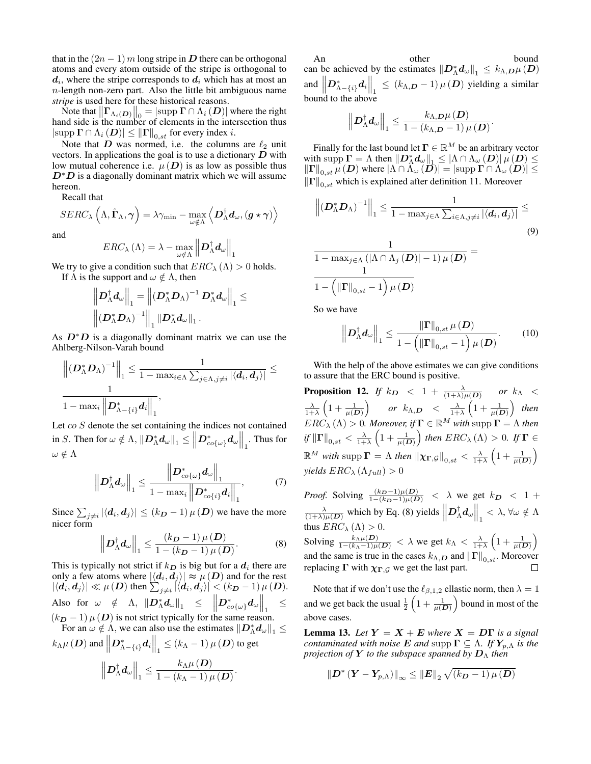that in the  $(2n - 1)$  m long stripe in D there can be orthogonal atoms and every atom outside of the stripe is orthogonal to  $d_i$ , where the stripe corresponds to  $d_i$  which has at most an n-length non-zero part. Also the little bit ambiguous name *stripe* is used here for these historical reasons.

Note that  $\|\Gamma_{\Lambda_i(D)}\|_0 = |\text{supp }\Gamma \cap \Lambda_i(D)|$  where the right hand side is the number of elements in the intersection thus  $|\text{supp }\Gamma \cap \Lambda_i(D)| \leq ||\Gamma||_{0,st}$  for every index i.

Note that D was normed, i.e. the columns are  $\ell_2$  unit vectors. In applications the goal is to use a dictionary  $D$  with low mutual coherence i.e.  $\mu(D)$  is as low as possible thus  $D^*D$  is a diagonally dominant matrix which we will assume hereon.

Recall that

and

$$
ERC_{\lambda}\left(\Lambda\right) = \lambda - \max_{\omega \notin \Lambda} \left\|\mathbf{D}^{\dagger}_{\Lambda}\mathbf{d}_{\omega}\right\|_{1}
$$

 $\left\langle \bm{D}_\Lambda^\dagger \bm{d}_\omega , (\bm{g} \star \bm{\gamma}) \right\rangle$ 

We try to give a condition such that  $ERC_{\lambda}(\Lambda) > 0$  holds.

If  $\Lambda$  is the support and  $\omega \notin \Lambda$ , then

 $SERC_\lambda\left(\Lambda,\hat{\mathbf{\Gamma}}_\Lambda,\boldsymbol{\gamma}\right)=\lambda \gamma_{\min}-\max_{\omega\notin \Lambda}$ 

$$
\begin{aligned}&\left\|\bm{D}_\Lambda^\dagger\bm{d}_\omega\right\|_1=\left\|(\bm{D}_\Lambda^*\bm{D}_\Lambda)^{-1}\,\bm{D}_\Lambda^*\bm{d}_\omega\right\|_1\leq\\&\left\|(\bm{D}_\Lambda^*\bm{D}_\Lambda)^{-1}\right\|_1\|\bm{D}_\Lambda^*\bm{d}_\omega\|_1\,. \end{aligned}
$$

As  $D^*D$  is a diagonally dominant matrix we can use the Ahlberg-Nilson-Varah bound

$$
\frac{\left\|\left(\boldsymbol{D}_{\Lambda}^{*}\boldsymbol{D}_{\Lambda}\right)^{-1}\right\|_{1} \leq \frac{1}{1-\max_{i\in\Lambda}\sum_{j\in\Lambda, j\neq i}|\langle\boldsymbol{d}_{i},\boldsymbol{d}_{j}\rangle|} \leq \frac{1}{1-\max_{i}\left\|\boldsymbol{D}_{\Lambda-\{i\}}^{*}\boldsymbol{d}_{i}\right\|_{1}},
$$

Let co S denote the set containing the indices not contained in S. Then for  $\omega \notin \Lambda$ ,  $\|\mathcal{D}^*_{\Lambda} \mathcal{d}_{\omega}\|_1 \leq \left\|\mathcal{D}^*_{co\{\omega\}} \mathcal{d}_{\omega}\right\|_1$ . Thus for  $\omega \notin \Lambda$  $\mathbf{u}$ 

$$
\left\|\boldsymbol{D}_{\Lambda}^{\dagger}\boldsymbol{d}_{\omega}\right\|_{1} \leq \frac{\left\|\boldsymbol{D}_{co\{\omega\}}^{\ast}\boldsymbol{d}_{\omega}\right\|_{1}}{1-\max_{i}\left\|\boldsymbol{D}_{co\{i\}}^{\ast}\boldsymbol{d}_{i}\right\|_{1}},\tag{7}
$$

Since  $\sum_{j\neq i} |\langle d_i, d_j \rangle| \le (k_D - 1) \mu(D)$  we have the more nicer form

<span id="page-12-0"></span>
$$
\left\|\boldsymbol{D}_{\Lambda}^{\dagger}\boldsymbol{d}_{\omega}\right\|_{1} \leq \frac{(k_{\boldsymbol{D}}-1)\,\mu\left(\boldsymbol{D}\right)}{1-(k_{\boldsymbol{D}}-1)\,\mu\left(\boldsymbol{D}\right)}.\tag{8}
$$

This is typically not strict if  $k_D$  is big but for a  $d_i$  there are only a few atoms where  $|\langle d_i, d_j \rangle| \approx \mu(D)$  and for the rest  $|\langle \boldsymbol{d}_i, \boldsymbol{d}_j \rangle| \ll \mu\left( \boldsymbol{D} \right)$  then  $\sum_{j \neq i} |\langle \boldsymbol{d}_i, \boldsymbol{d}_j \rangle| < (k_{\boldsymbol{D}}-1) \, \mu \left( \boldsymbol{D} \right)$ . Also for  $\omega \notin \Lambda$ ,  $\left\| D_\Lambda^* d_\omega \right\|_1 \leq \left\| D_{co{\{\omega\}}}^* d_\omega \right\|_1$ ≤  $(k_D - 1) \mu(D)$  is not strict typically for the same reason.

For an  $\omega \notin \Lambda$ , we can also use the estimates  $||\mathbf{D}_{\Lambda}^* \mathbf{d}_{\omega}||_1 \leq$  $k_{\Lambda}\mu\left(\bm{D}\right)$  and  $\left\Vert \bm{D}_{\Lambda-\left\{ i\right\} }^{*}\bm{d}_{i}\right\Vert _{1}\leq\left(k_{\Lambda}-1\right)\mu\left(\bm{D}\right)$  to get  $\left\|\bm{D}^\dagger_\Lambda \bm{d}_\omega\right\|_1 \leq \frac{k_\Lambda\mu\left(\bm{D}\right)}{1-\left(k_\Lambda-1\right)\mu}$  $\frac{n_{\Lambda}^{2} \mu(\mathbf{D})}{1-(k_{\Lambda}-1) \mu(\mathbf{D})}.$ 

An other bound can be achieved by the estimates  $||D_{\Lambda}^* d_{\omega}||_1 \leq k_{\Lambda,D} \mu(D)$ and  $||D^*_{\Lambda-\{i\}}d_i||_1 \leq (k_{\Lambda,D}-1) \mu(D)$  yielding a similar bound to the above

<span id="page-12-3"></span>
$$
\left\| \boldsymbol{D}^{\dagger}_{\Lambda} \boldsymbol{d}_{\omega} \right\|_1 \leq \frac{k_{\Lambda,\boldsymbol{D}} \mu\left(\boldsymbol{D}\right)}{1-\left(k_{\Lambda,\boldsymbol{D}}-1\right) \mu\left(\boldsymbol{D}\right)}.
$$

Finally for the last bound let  $\Gamma \in \mathbb{R}^M$  be an arbitrary vector with supp  $\Gamma = \Lambda$  then  $||D_{\Lambda}^* d_{\omega}||_1 \le |\Lambda \cap \Lambda_{\omega}(D)| \mu(D) \le$  $\left\Vert \Gamma\right\Vert _{0,st}\mu\left(D\right)$  where  $\left|\Lambda\cap\bar{\Lambda}_{\omega}\left(\overline{D}\right)\right|=\left|\text{supp }\Gamma\cap\bar{\Lambda}_{\omega}\left(\overline{D}\right)\right|\leq$  $\|\Gamma\|_{0,st}$  which is explained after definition [11.](#page-11-3) Moreover

$$
\left\| \left( \mathbf{D}_{\Lambda}^* \mathbf{D}_{\Lambda} \right)^{-1} \right\|_1 \leq \frac{1}{1 - \max_{j \in \Lambda} \sum_{i \in \Lambda, j \neq i} |\langle \mathbf{d}_i, \mathbf{d}_j \rangle|} \leq
$$
\n
$$
\frac{1}{1 - \max_{j \in \Lambda} \left( |\Lambda \cap \Lambda_j(\mathbf{D})| - 1 \right) \mu(\mathbf{D})} =
$$
\n(9)

$$
\mathbf{1} - \left(\left\|\mathbf{\Gamma}\right\|_{0, st} - 1\right) \mu\left(\mathbf{D}\right)
$$

So we have

<span id="page-12-1"></span>
$$
\left\|\boldsymbol{D}_{\Lambda}^{\dagger}\boldsymbol{d}_{\omega}\right\|_{1} \leq \frac{\left\|\boldsymbol{\Gamma}\right\|_{0,st}\mu\left(\boldsymbol{D}\right)}{1-\left(\left\|\boldsymbol{\Gamma}\right\|_{0,st}-1\right)\mu\left(\boldsymbol{D}\right)}.
$$
 (10)

With the help of the above estimates we can give conditions to assure that the ERC bound is positive.

<span id="page-12-2"></span>**Proposition 12.** *If*  $k_{\textbf{D}} \ < \ 1 \ + \ \frac{\lambda}{(1+\lambda)\mu(\textbf{D})} \ \ \ \ \ or \ \ k_{\Lambda} \ < \ \ \ \ \ \nonumber$  $\frac{\lambda}{1+\lambda}\left(1+\frac{1}{\mu(\bm{D})}\right)$  or  $k_{\Lambda,\bm{D}} < \frac{\lambda}{1+\lambda}\left(1+\frac{1}{\mu(\bm{D})}\right)$  then  $ERC_{\lambda}(\Lambda) > 0$ *. Moreover, if*  $\Gamma \in \mathbb{R}^M$  *with* supp  $\Gamma = \Lambda$  *then*  $\|f\| \Gamma \|_{0,st} < \frac{\lambda}{1+\lambda} \left(1+\frac{1}{\mu(D)}\right)$  then  $ERC_{\lambda}\left(\Lambda\right)>0$ . If  $\Gamma \in$  $\mathbb{R}^M$  with  $\mathrm{supp}\,\mathbf{\Gamma}=\Lambda$  then  $\|\boldsymbol{\chi}_{\mathbf{\Gamma},\mathcal{G}}\|_{0,st}<\frac{\lambda}{1+\lambda}\left(1+\frac{1}{\mu(\boldsymbol{D})}\right)$ *yields*  $ERC_{\lambda}(\Lambda_{full}) > 0$ 

*Proof.* Solving  $\frac{(k_D-1)\mu(D)}{1-(k_D-1)\mu(D)}$  <  $\lambda$  we get  $k_D$  < 1 +  $\frac{\lambda}{(1+\lambda)\mu(D)}$  which by Eq. [\(8\)](#page-12-0) yields  $||D_\Lambda^{\dagger} d_\omega||_1 < \lambda$ ,  $\forall \omega \notin \Lambda$ thus  $ERC_{\lambda}(\Lambda) > 0$ . Solving  $\frac{k_{\Lambda}\mu(D)}{1-(k_{\Lambda}-1)\mu(D)} < \lambda$  we get  $k_{\Lambda} < \frac{\lambda}{1+\lambda} \left(1 + \frac{1}{\mu(D)}\right)$ and the same is true in the cases  $k_{\Lambda,D}$  and  $\|\mathbf{\Gamma}\|_{0,st}$ . Moreover replacing  $\Gamma$  with  $\chi_{\Gamma, \mathcal{G}}$  we get the last part.

Note that if we don't use the  $\ell_{\beta,1,2}$  ellastic norm, then  $\lambda = 1$ and we get back the usual  $\frac{1}{2} \left( 1 + \frac{1}{\mu(D)} \right)$  bound in most of the above cases.

**Lemma 13.** Let  $Y = X + E$  where  $X = D\Gamma$  is a signal *contaminated with noise* **E** *and* supp  $\Gamma \subseteq \Lambda$ *. If*  $Y_{p,\Lambda}$  *is the projection of* Y *to the subspace spanned by* D<sup>Λ</sup> *then*

$$
\left\| D^* \left( Y - Y_{p, \Lambda} \right) \right\|_\infty \leq \left\| E \right\|_2 \sqrt{\left( k_D - 1 \right) \mu \left( D \right)}
$$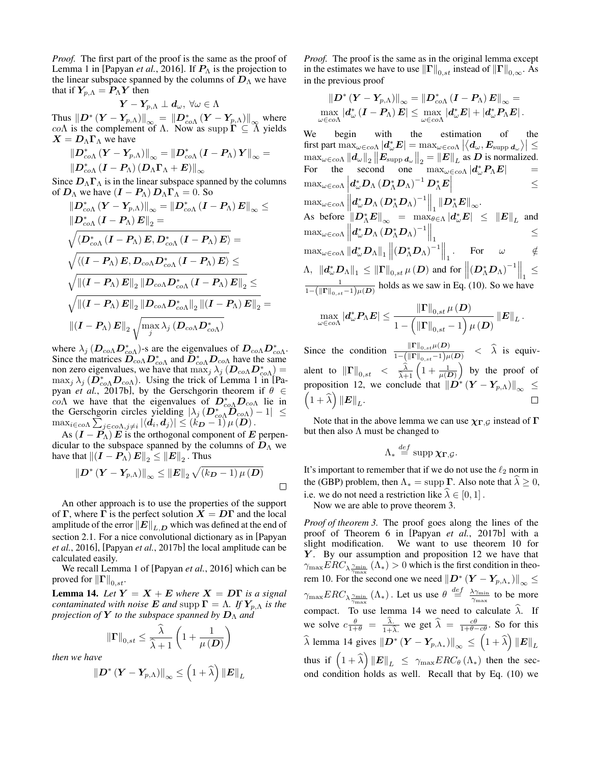*Proof.* The first part of the proof is the same as the proof of Lemma 1 in [\[Papyan](#page-7-12) *et al.*, 2016]. If  $P_{\Lambda}$  is the projection to the linear subspace spanned by the columns of  $D_{\Lambda}$  we have that if  $Y_{p,\Lambda} = P_{\Lambda} Y$  then

$$
\boldsymbol{Y}-\boldsymbol{Y}_{p,\Lambda}\perp\boldsymbol{d}_\omega,\ \forall\omega\in\Lambda
$$

Thus  $||D^* (Y - Y_{p,\Lambda})||_{\infty} = ||D^*_{co\Lambda} (Y - Y_{p,\Lambda})||_{\infty}$  where  $co\Lambda$  is the complement of  $\Lambda$ . Now as supp  $\Gamma \subseteq \Lambda$  yields  $X = D_{\Lambda} \Gamma_{\Lambda}$  we have

$$
\begin{aligned} &\left\|D_{co\Lambda}^*\left(Y-Y_{p,\Lambda}\right)\right\|_{\infty}=\left\|D_{co\Lambda}^*\left(I-P_{\Lambda}\right)Y\right\|_{\infty}=\right.\\ &\left\|D_{co\Lambda}^*\left(I-P_{\Lambda}\right)\left(D_{\Lambda}\Gamma_{\Lambda}+E\right)\right\|_{\infty}\end{aligned}
$$

Since  $D_{\Lambda} \Gamma_{\Lambda}$  is in the linear subspace spanned by the columns of  $D_{\Lambda}$  we have  $(I - P_{\Lambda}) D_{\Lambda} \Gamma_{\Lambda} = 0$ . So

$$
\begin{aligned} &\left\|D_{c o \Lambda }^{*}\left(\boldsymbol{Y}-\boldsymbol{Y_{p, \Lambda }}\right)\right\|_{\infty }=\left\|\boldsymbol{D}_{c o \Lambda }^{*}\left(\boldsymbol{I}-\boldsymbol{P_{\Lambda }}\right)\boldsymbol{E}\right\|_{\infty }\leq\\ &\left\|\boldsymbol{D}_{c o \Lambda }^{*}\left(\boldsymbol{I}-\boldsymbol{P_{\Lambda }}\right)\boldsymbol{E}\right\|_{2}=\ & \sqrt{\left\langle \boldsymbol{D}_{c o \Lambda }^{*}\left(\boldsymbol{I}-\boldsymbol{P_{\Lambda }}\right)\boldsymbol{E},\boldsymbol{D}_{c o \Lambda }^{*}\left(\boldsymbol{I}-\boldsymbol{P_{\Lambda }}\right)\boldsymbol{E}\right\rangle }=\ & \sqrt{\left\langle \left(\boldsymbol{I}-\boldsymbol{P_{\Lambda }}\right)\boldsymbol{E},\boldsymbol{D}_{c o \Lambda }\boldsymbol{D}_{c o \Lambda }^{*}\left(\boldsymbol{I}-\boldsymbol{P_{\Lambda }}\right)\boldsymbol{E}\right\rangle }\leq\\ &\sqrt{\left\|\left(\boldsymbol{I}-\boldsymbol{P_{\Lambda }}\right)\boldsymbol{E}\right\|_{2}\left\|\boldsymbol{D}_{c o \Lambda }\boldsymbol{D}_{c o \Lambda }^{*}\left(\boldsymbol{I}-\boldsymbol{P_{\Lambda }}\right)\boldsymbol{E}\right\|_{2}\leq}\\ &\sqrt{\left\|\left(\boldsymbol{I}-\boldsymbol{P_{\Lambda }}\right)\boldsymbol{E}\right\|_{2}\left\|\boldsymbol{D}_{c o \Lambda }\boldsymbol{D}_{c o \Lambda }^{*}}\right\|_{2}\left\|\left(\boldsymbol{I}-\boldsymbol{P_{\Lambda }}\right)\boldsymbol{E}\right\|_{2}}\leq\\ &\left\|\left(\boldsymbol{I}-\boldsymbol{P_{\Lambda }}\right)\boldsymbol{E}\right\|_{2}\sqrt{\max _{j}\lambda _{j}\left(\boldsymbol{D}_{c o \Lambda }\boldsymbol{D}_{c o \Lambda }^{*}}\right)}\end{aligned}
$$

where  $\lambda_j$  ( $\mathbf{D}_{co\Lambda} \mathbf{D}_{co\Lambda}^*$ )-s are the eigenvalues of  $\mathbf{D}_{co\Lambda} \mathbf{D}_{co\Lambda}^*$ . Since the matrices  $\overline{D}_{co\Lambda}^* D_{co\Lambda}^*$  and  $\overline{D}_{co\Lambda}^* D_{co\Lambda}$  have the same non zero eigenvalues, we have that  $\max_j \lambda_j \left( \mathbf{D}_{co\Lambda} \mathbf{D}_{co\Lambda}^* \right)$  $\max_j \lambda_j$  ( $\overline{D}_{co\Lambda}^* D_{co\Lambda}$ ). Using the trick of Lemma 1 in [\[Pa](#page-7-13)pyan *et al.*[, 2017b\]](#page-7-13), by the Gerschgorin theorem if  $\theta \in$ co $\Lambda$  we have that the eigenvalues of  $D_{co\Lambda}^* D_{co\Lambda}$  lie in the Gerschgorin circles yielding  $|\lambda_j(D_{co\Lambda}^*\widetilde{D}_{co\Lambda})-1| \leq$  $\max_{i \in c \circ \Lambda} \sum_{j \in c \circ \Lambda, j \neq i} |\langle \boldsymbol{d}_i, \boldsymbol{d}_j \rangle| \leq (k_{\boldsymbol{D}} - 1) \, \mu \left( \boldsymbol{D} \right).$ 

As  $(I - P_{\Lambda}) E$  is the orthogonal component of E perpendicular to the subspace spanned by the columns of  $D_{\Lambda}$  we have that  $\left\|\left(\boldsymbol{I} - \boldsymbol{P}_{\Lambda}\right)\boldsymbol{E}\right\|_2 \leq \left\|\boldsymbol{E}\right\|_2$  . Thus

$$
\left\|\boldsymbol{D}^{*}\left(\boldsymbol{Y}-\boldsymbol{Y}_{p,\Lambda}\right)\right\|_{\infty}\leq\left\|\boldsymbol{E}\right\|_{2}\sqrt{\left(k_{\boldsymbol{D}}-1\right)\mu\left(\boldsymbol{D}\right)}
$$

An other approach is to use the properties of the support of Γ, where Γ is the perfect solution  $X = D\Gamma$  and the local amplitude of the error  $||E||_{L,D}$  which was defined at the end of section [2.1.](#page-1-2) For a nice convolutional dictionary as in [\[Papyan](#page-7-12) *et al.*[, 2016\]](#page-7-12), [Papyan *et al.*[, 2017b\]](#page-7-13) the local amplitude can be calculated easily.

We recall Lemma 1 of [\[Papyan](#page-7-12) *et al.*, 2016] which can be proved for  $\left\| \Gamma \right\|_{0,st}$ .

<span id="page-13-0"></span>**Lemma 14.** Let  $Y = X + E$  where  $X = D\Gamma$  is a signal *contaminated with noise* **E** *and* supp  $\Gamma = \Lambda$ *. If*  $Y_{p,\Lambda}$  *is the projection of* **Y** *to the subspace spanned by*  $D_Λ$  *and* 

$$
\|\mathbf{\Gamma}\|_{0,st}\leq \frac{\widehat{\lambda}}{\widehat{\lambda}+1}\left(1+\frac{1}{\mu(\boldsymbol{D})}\right)
$$

*then we have*

$$
\left\|\bm{D}^{*}\left(\bm{Y}-\bm{Y}_{p,\Lambda}\right)\right\|_{\infty}\leq\left(1+\widehat{\lambda}\right)\left\|\bm{E}\right\|_{L}
$$

*Proof.* The proof is the same as in the original lemma except in the estimates we have to use  $\|\Gamma\|_{0,st}$  instead of  $\|\Gamma\|_{0,\infty}$ . As in the previous proof

$$
\left\| D^* \left( Y - Y_{p, \Lambda} \right) \right\|_\infty = \left\| D^*_{co\Lambda} \left( I - P_\Lambda \right) E \right\|_\infty = \\ \max_{\omega \in co\Lambda} \left| d^*_\omega \left( I - P_\Lambda \right) E \right| \leq \max_{\omega \in co\Lambda} \left| d^*_\omega E \right| + \left| d^*_\omega P_\Lambda E \right|.
$$

We begin with the estimation of the  $\left|\max_{\omega \in co\Lambda} \left| d^*_\omega \bm E \right| = \max_{\omega \in co\Lambda} \left| \left\langle \bm d_\omega, \bm E_\mathrm{supp\, \bm d_\omega} \right\rangle \right| \leq 1$  $\max_{\omega \in co\Lambda} ||d_{\omega}||_2 ||E_{\text{supp }d_{\omega}}||_2 = ||E||_L$  as D is normalized. For the second one  $\max_{\omega \in c_0 \Lambda} |d_{\omega}^* P_{\Lambda} E|$  =  $\max_{\omega \in co \Lambda} \left| d^*_\omega \boldsymbol{D}_\Lambda \left( \boldsymbol{D}^*_\Lambda \boldsymbol{D}_\Lambda \right)^{-1} \boldsymbol{D}^*_\Lambda \boldsymbol{E} \right|$  $\left|\boldsymbol{d}_{\omega}^*\boldsymbol{D}_{\Lambda}\left(\boldsymbol{D}_{\Lambda}^*\boldsymbol{D}_{\Lambda}\right)^{-1}\boldsymbol{D}_{\Lambda}^*\boldsymbol{E}\right| \hspace{1.5cm} \leq$  $\max_{\omega \in co\Lambda} \left\| \boldsymbol{d}^*_{\omega} \boldsymbol{D}_{\Lambda} (\boldsymbol{D}^*_{\Lambda} \boldsymbol{D}_{\Lambda})^{-1} \right\|_1 \left\| \boldsymbol{D}^*_{\Lambda} \boldsymbol{E} \right\|_{\infty}.$ As before  $||D_{\Lambda}^*E||_{\infty} = \max_{\theta \in \Lambda} |d_{\omega}^*E| \leq ||E||_L$  and  $\max_{\omega \in co\Lambda} \left\| \bm{d}^*_{\omega} \bm{D}_{\Lambda} \left( \bm{D}^*_{\Lambda} \bm{D}_{\Lambda} \right)^{-1} \right\|_2$  $\mathbb{I} \stackrel{\sim}{\sim} \mathbb{I} \stackrel{\sim}{\sim} \mathbb{I} \stackrel{\sim}{\sim} \mathbb{I} \stackrel{\sim}{\mathbb{I}}$ ≤  $\max_{\omega \in co\Lambda} \|d_\omega^* D_\Lambda\|_1 \left\| \left(D_\Lambda^* D_\Lambda\right)^{-1}\right\|_1$ . For  $\omega \notin$  $\Lambda, \| d_\omega^* D_\Lambda \|_1 \leq \|\Gamma\|_{0,st} \,\mu\left(\boldsymbol{D}\right) \text{ and for } \left\| \left(\boldsymbol{D}_\Lambda^* \boldsymbol{D}_\Lambda\right)^{-1} \right\|_1 \leq$  $\frac{1}{1-(\|\Gamma\|_{0,st}-1)\mu(D)}$  holds as we saw in Eq. [\(10\)](#page-12-1). So we have

$$
\max_{\omega \in co\Lambda} \left| \boldsymbol{d}^*_{\omega}\boldsymbol{P}_{\Lambda}\boldsymbol{E} \right| \leq \frac{\left\| \boldsymbol{\Gamma} \right\|_{0,st}\mu\left( \boldsymbol{D} \right)}{1-\left( \left\| \boldsymbol{\Gamma} \right\|_{0,st} - 1 \right)\mu\left( \boldsymbol{D} \right)} \left\| \boldsymbol{E} \right\|_{L}.
$$

Since the condition  $\frac{\|\Gamma\|_{0,\delta t}\mu(D)}{1-(\|\Gamma\|_{0,\delta t}-1)\mu(D)}$  <  $\widehat{\lambda}$  is equivalent to  $\|\Gamma\|_{0,st} < \frac{\hat{\lambda}}{\hat{\lambda}+1} \left(1 + \frac{1}{\mu(D)}\right)$  by the proof of proposition [12,](#page-12-2) we conclude that  $\left\| \overline{D}^{*} \left( Y - Y_{p,\Lambda} \right) \right\|_{\infty} \leq$  $\left(1+\widehat{\lambda}\right)\left\Vert \bm{E}\right\Vert _{L}.$ 

Note that in the above lemma we can use  $\chi_{\Gamma,G}$  instead of  $\Gamma$ but then also  $\Lambda$  must be changed to

$$
\Lambda_* \stackrel{\text{\it def}}{=} \operatorname{supp} \chi_{\Gamma, \mathcal{G}}.
$$

def

It's important to remember that if we do not use the  $\ell_2$  norm in the [\(GBP\)](#page-2-0) problem, then  $\Lambda_* = \text{supp }\Gamma$ . Also note that  $\lambda \ge 0$ , i.e. we do not need a restriction like  $\lambda \in [0, 1]$ .

Now we are able to prove theorem [3.](#page-2-1)

*Proof of theorem [3.](#page-2-1)* The proof goes along the lines of the proof of Theorem 6 in [Papyan *et al.*[, 2017b\]](#page-7-13) with a slight modification. We want to use theorem [10](#page-11-0) for  $Y$ . By our assumption and proposition [12](#page-12-2) we have that  $\gamma_{\text{max}} ERC_{\lambda \frac{\gamma_{\text{min}}}{\alpha}} (\Lambda_*) > 0$  which is the first condition in theo-rem [10.](#page-11-0) For the second one we need  $||D^* (Y - Y_{p,\Lambda_*})||_{\infty} \le$  $\gamma_{\max} ERC_{\lambda \frac{\gamma_{\min}}{\gamma_{\max}}} (\Lambda_*)$ . Let us use  $\theta \stackrel{def}{=} \frac{\lambda \gamma_{\min}}{\gamma_{\max}}$  to be more compact. To use lemma [14](#page-13-0) we need to calculate  $\lambda$ . If we solve  $c \frac{\theta}{1+\theta} = \frac{\lambda}{1+\lambda}$  we get  $\hat{\lambda} = \frac{c\theta}{1+\theta-c\theta}$ . So for this  $\widehat{\lambda}$  lemma [14](#page-13-0) gives  $\left\| \bm{D}^{*}\left(\bm{Y}-\bm{Y}_{p,\Lambda_*}\right)\right\| _{\infty}\leq\left(1+\widehat{\lambda}\right)\left\| \bm{E} \right\| _{L}$ thus if  $\left(1+\widehat{\lambda}\right) \left\Vert \boldsymbol{E}\right\Vert _{L} \leq \gamma_{\mathrm{max}}ERC_{\theta}\left(\Lambda_{*}\right)$  then the second condition holds as well. Recall that by Eq. [\(10\)](#page-12-1) we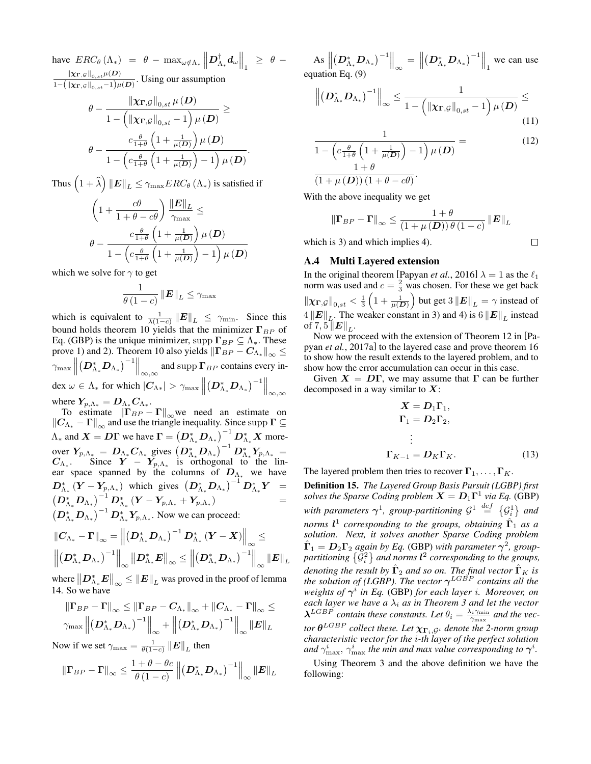have  $ERC_{\theta} (\Lambda_*) = \theta - \max_{\omega \notin \Lambda_*} ||D^{\dagger}_{\Lambda_*} d_{\omega}||_1 \geq \theta \left\Vert \chi_{\Gamma,\mathcal{G}}\right\Vert _{0,st}\mu(D)$  $\frac{\|X\Gamma_{,\varphi}\|_{0,s,t}\mu(\varphi)}{1-(\|X\Gamma_{,\varphi}\|_{0,s,t}-1)\mu(D)}$ . Using our assumption

$$
\theta - \frac{\left\|\chi_{\Gamma,\mathcal{G}}\right\|_{0,st}\mu\left(\boldsymbol{D}\right)}{1 - \left(\left\|\chi_{\Gamma,\mathcal{G}}\right\|_{0,st} - 1\right)\mu\left(\boldsymbol{D}\right)} \geq \\ \theta - \frac{c\frac{\theta}{1+\theta}\left(1 + \frac{1}{\mu(\boldsymbol{D})}\right)\mu\left(\boldsymbol{D}\right)}{1 - \left(c\frac{\theta}{1+\theta}\left(1 + \frac{1}{\mu(\boldsymbol{D})}\right) - 1\right)\mu\left(\boldsymbol{D}\right)}.
$$

Thus  $\left(1+\widehat{\lambda}\right)\left\Vert \bm{E}\right\Vert _{L}\leq\gamma_{\max}ERC_{\theta}\left(\Lambda_{\ast}\right)$  is satisfied if

$$
\begin{aligned} &\left(1+\frac{c\theta}{1+\theta-c\theta}\right)\frac{\left\|\pmb{E}\right\|_{L}}{\gamma_{\max}}\leq\\ &\theta-\frac{c\frac{\theta}{1+\theta}\left(1+\frac{1}{\mu(\pmb{D})}\right)\mu\left(\pmb{D}\right)}{1-\left(c\frac{\theta}{1+\theta}\left(1+\frac{1}{\mu(\pmb{D})}\right)-1\right)\mu\left(\pmb{D}\right)}\end{aligned}
$$

which we solve for  $\gamma$  to get

$$
\frac{1}{\theta\left(1-c\right)}\left\Vert \boldsymbol{E}\right\Vert _{L}\leq\gamma_{\textrm{max}}
$$

which is equivalent to  $\frac{1}{\lambda(1-c)} ||E||_L \leq \gamma_{\min}$ . Since this bound holds theorem [10](#page-11-0) yields that the minimizer  $\Gamma_{BP}$  of Eq. [\(GBP\)](#page-2-0) is the unique minimizer, supp  $\Gamma_{BP} \subseteq \Lambda_*$ . These prove 1) and 2). Theorem [10](#page-11-0) also yields  $\left\| \Gamma_{BP} - C_{\Lambda_*} \right\|_\infty \leq$  $\gamma_{\max}$  $(D_{\Lambda_*}^* D_{\Lambda_*})^{-1}\Big\|_{\infty,\infty}$  and supp  $\Gamma_{BP}$  contains every index  $\omega \in \Lambda_*$  for which  $|C_{\Lambda*}| > \gamma_{\max}$  $\left.\left(\boldsymbol{D}_{\Lambda_*}^*\boldsymbol{D}_{\Lambda_*}\right)^{-1}\right\|_{\infty,\infty}$ where  $\boldsymbol{Y_{p,\Lambda}}_* = \boldsymbol{D}_{\Lambda_*} \boldsymbol{C}_{\Lambda_*}.$ 

To estimate  $\|\mathbf{\Gamma}_{BP} - \mathbf{\Gamma}\|_{\infty}$  we need an estimate on  $\|C_{\Lambda_*} - \Gamma\|_{\infty}$  and use the triangle inequality. Since supp  $\Gamma \subseteq$  $\Lambda_*$  and  $\bm{X} = \bm{D}\bm{\Gamma}$  we have  $\bm{\Gamma} = \left( \bm{D}^*_{\Lambda_*}\bm{D}_{\Lambda_*} \right)^{-1} \bm{D}^*_{\Lambda_*}\bm{X}$  moreover  $Y_{p,\Lambda_*} = D_{\Lambda_*} C_{\Lambda_*}$  gives  $(D_{\Lambda_*}^* D_{\Lambda_*})^{-1} D_{\Lambda_*}^* Y_{p,\Lambda_*} =$  $C_{\Lambda_*}$ . Since  $Y - Y_{p,\Lambda_*}$  is orthogonal to the linear space spanned by the columns of  $D_{\Lambda_*}$  we have  $\bm{D}^*_{\Lambda_*}\left(\bm{Y}-\bm{Y}_{p,\Lambda_*}\right)$  which gives  $\left(\bm{D}^*_{\Lambda_*}\bm{D}_{\Lambda_*}\right)^{-1}\bm{D}^*_{\Lambda_*}\bm{Y}$  =  $\left(\boldsymbol{D}_{\Lambda_*}^*\boldsymbol{D}_{\Lambda_*}\right)^{-1}\boldsymbol{D}_{\Lambda_*}^*\left(\boldsymbol{Y}-\boldsymbol{Y_{p,\Lambda_*}}+\boldsymbol{Y_{p,\Lambda_*}}\right)$ )  $=$  $(D_{\Lambda_*}^* D_{\Lambda_*})^{-1} D_{\Lambda_*}^* Y_{p,\Lambda_*}$ . Now we can proceed:

$$
\|\boldsymbol{C}_{\Lambda_*} - \boldsymbol{\Gamma}\|_{\infty} = \left\| \left( \boldsymbol{D}_{\Lambda_*}^* \boldsymbol{D}_{\Lambda_*} \right)^{-1} \boldsymbol{D}_{\Lambda_*}^* \left( \boldsymbol{Y} - \boldsymbol{X} \right) \right\|_{\infty} \le
$$
  

$$
\left\| \left( \boldsymbol{D}_{\Lambda_*}^* \boldsymbol{D}_{\Lambda_*} \right)^{-1} \right\|_{\infty} \left\| \boldsymbol{D}_{\Lambda_*}^* \boldsymbol{E} \right\|_{\infty} \le \left\| \left( \boldsymbol{D}_{\Lambda_*}^* \boldsymbol{D}_{\Lambda_*} \right)^{-1} \right\|_{\infty} \left\| \boldsymbol{E} \right\|_{L}
$$

where  $\left\| \mathbf{D}_{\Lambda_{*}}^{*} \mathbf{E} \right\|_{\infty} \leq \left\| \mathbf{E} \right\|_{L}$  was proved in the proof of lemma [14.](#page-13-0) So we have

$$
\frac{\left\|\Gamma_{BP}-\Gamma\right\|_{\infty}\leq\left\|\Gamma_{BP}-C_{\Lambda_*}\right\|_{\infty}+\left\|C_{\Lambda_*}-\Gamma\right\|_{\infty}}{\gamma_{\max}\left\|\left(D_{\Lambda_*}^*D_{\Lambda_*}\right)^{-1}\right\|_{\infty}+\left\|\left(D_{\Lambda_*}^*D_{\Lambda_*}\right)^{-1}\right\|_{\infty}\left\|E\right\|_{L}}
$$

Now if we set  $\gamma_{\text{max}} = \frac{1}{\theta(1-c)} \left\| E \right\|_L$  then

$$
\|\mathbf{\Gamma}_{BP} - \mathbf{\Gamma}\|_{\infty} \le \frac{1+\theta-\theta c}{\theta(1-c)} \left\|\left(\mathbf{D}_{\Lambda_*}^* \mathbf{D}_{\Lambda_*}\right)^{-1}\right\|_{\infty} \|E\|_{L}
$$

 $\begin{array}{c} \begin{array}{c} \end{array} \end{array}$  $\left\|\left(D^*_{\Lambda_*}D_{\Lambda_*}\right)^{-1}\right\|_{\infty} = \left\| \right\|_{\infty}$  $(D_{\Lambda_*}^* D_{\Lambda_*})^{-1}\Big\|_1$  we can use equation Eq. [\(9\)](#page-12-3)

$$
\left\| \left( D_{\Lambda_*}^* D_{\Lambda_*} \right)^{-1} \right\|_{\infty} \leq \frac{1}{1 - \left( \left\| \chi_{\mathbf{\Gamma},\mathcal{G}} \right\|_{0,st} - 1 \right) \mu \left( \mathbf{D} \right)} \leq
$$
\n(11)

$$
\frac{1}{1 - \left(c \frac{\theta}{1 + \theta} \left(1 + \frac{1}{\mu(\mathbf{D})}\right) - 1\right) \mu(\mathbf{D})} =
$$
\n
$$
\frac{1 + \theta}{(1 + \mu(\mathbf{D})) \left(1 + \theta - c\theta\right)}.
$$
\n(12)

With the above inequality we get

$$
\|\mathbf{\Gamma}_{BP} - \mathbf{\Gamma}\|_{\infty} \le \frac{1+\theta}{(1+\mu(D))\theta(1-c)}\|E\|_{L}
$$

which is 3) and which implies 4).

#### $\Box$

### <span id="page-14-0"></span>A.4 Multi Layered extension

In the original theorem [\[Papyan](#page-7-12) *et al.*, 2016]  $\lambda = 1$  as the  $\ell_1$ norm was used and  $c = \frac{2}{3}$  was chosen. For these we get back  $\|\chi_{\mathbf{\Gamma},\mathcal{G}}\|_{0,st} < \frac{1}{3}\left(1+\frac{1}{\mu(D)}\right)$  but get  $3\|\mathbf{E}\|_{L} = \gamma$  instead of  $4||E||_L$ . The weaker constant in 3) and 4) is 6  $||E||_L$  instead of 7, 5 $\left\Vert \bm{E}\right\Vert _{L}.$ 

Now we proceed with the extension of Theorem 12 in [\[Pa](#page-7-11)pyan *et al.*[, 2017a\]](#page-7-11) to the layered case and prove theorem [16](#page-15-0) to show how the result extends to the layered problem, and to show how the error accumulation can occur in this case.

Given  $X = D\Gamma$ , we may assume that  $\Gamma$  can be further decomposed in a way similar to  $X$ :

<span id="page-14-1"></span>
$$
X = D_1 \Gamma_1,
$$
  
\n
$$
\Gamma_1 = D_2 \Gamma_2,
$$
  
\n
$$
\vdots
$$
  
\n
$$
\Gamma_{K-1} = D_K \Gamma_K.
$$
 (13)

The layered problem then tries to recover  $\Gamma_1, \ldots, \Gamma_K$ .

Definition 15. *The Layered Group Basis Pursuit (LGBP) first solves the Sparse Coding problem*  $X = D_1 \Gamma^1$  *via Eq.* [\(GBP\)](#page-2-0) with parameters  $\gamma^1$ , group-partitioning  $\mathcal{G}^1 \stackrel{def}{=} \{\mathcal{G}_i^1\}$  and *norms* l 1 *corresponding to the groups, obtaining* Γˆ <sup>1</sup> *as a solution. Next, it solves another Sparse Coding problem*  $\hat{\Gamma}_1 = D_2 \Gamma_2$  again by Eq. [\(GBP\)](#page-2-0) with parameter  $\gamma^2$ , grouppartitioning  $\{\mathcal{G}_i^2\}$  and norms  $\mathbf{l}^2$  corresponding to the groups, denoting the result by  $\hat{\Gamma}_2$  and so on. The final vector  $\hat{\Gamma}_K$  is *the solution of (LGBP). The vector*  $\gamma^{LGBP}$  *contains all the weights of* γ i *in Eq.* [\(GBP\)](#page-2-0) *for each layer* i*. Moreover, on each layer we have a*  $\lambda_i$  *as in Theorem [3](#page-2-1) and let the vector*  $\lambda^{LGBP}$  contain these constants. Let  $\theta_i = \frac{\lambda_i \gamma_{\min}}{\gamma_{\max}}$  and the vec- $\bm{\mathit{tor}}$   $\bm{\theta}^{LGBP}$  collect these. Let  $\bm{\chi_{\Gamma_i,\mathcal{G}^i}}$  denote the 2-norm group *characteristic vector for the* i*-th layer of the perfect solution* and  $\gamma^i_{\max}, \gamma^i_{\max}$  the min and max value corresponding to  $\boldsymbol{\gamma}^i$ .

Using Theorem [3](#page-2-1) and the above definition we have the following: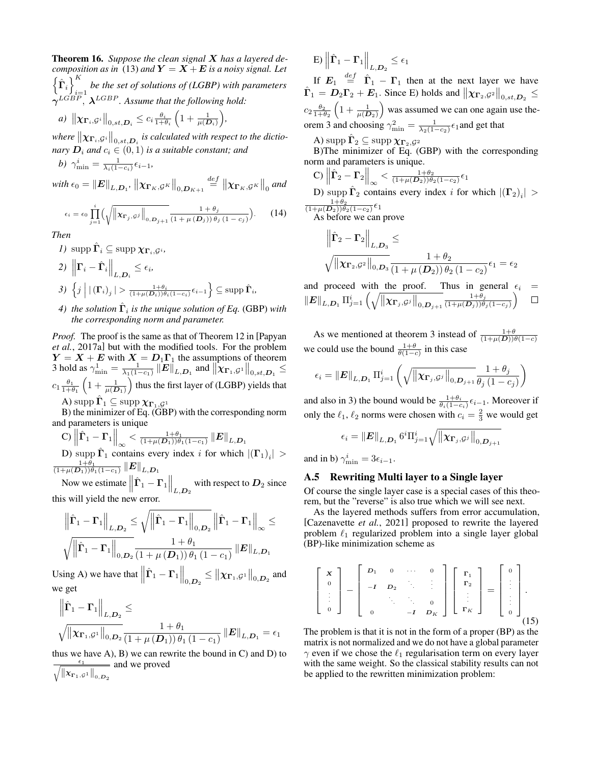<span id="page-15-0"></span>Theorem 16. *Suppose the clean signal* X *has a layered decomposition as in* [\(13\)](#page-14-1) *and*  $Y = X + E$  *is a noisy signal. Let*  $\left\{ \hat{\boldsymbol{\Gamma}}_{i}\right\} ^{K}$ be the set of solutions of (LGBP) with parameters<br> $\dot{v}$ =1  $\gamma^{LGBP}, \ \lambda^{LGBP}$ . Assume that the following hold:  $\theta_i$  $\sqrt{ }$  $\setminus$ 

a) 
$$
\|\mathbf{\chi}_{\mathbf{\Gamma}_i,\mathcal{G}^i}\|_{0,st,\mathbf{D}_i} \leq c_i \frac{\theta_i}{1+\theta_i} \left(1 + \frac{1}{\mu(\mathbf{D}_i)}\right),
$$
  
where  $\|\mathbf{\chi}_{\mathbf{\Sigma}_i}\|_{\mathbf{\Sigma}_i}$  is calculated with respect

where  $\|\boldsymbol{\chi}_{\boldsymbol{\Gamma}_i,\mathcal{G}^i}\|_{0,st,D_i}$  is calculated with respect to the dictio*nary*  $D_i$  *and*  $c_i \in (0,1)$  *is a suitable constant; and* 

$$
b) \ \gamma_{\min}^i = \frac{1}{\lambda_i (1 - c_i)} \epsilon_{i-1},
$$

with  $\epsilon_0 = \|\boldsymbol{E}\|_{L,\boldsymbol{D}_1}$ ,  $\left\|\boldsymbol{\chi}_{\boldsymbol{\Gamma}_K,\mathcal{G}^K}\right\|_{0,\boldsymbol{D}_{K+1}}$  $\stackrel{def}{=} \left\Vert \chi_{\Gamma_K, \mathcal{G}^K} \right\Vert_0$  and

$$
\epsilon_i = \epsilon_0 \prod_{j=1}^i \left( \sqrt{\left\| \mathbf{x}_{\mathbf{\Gamma}_j, \mathcal{G}^j} \right\|_{0, \mathbf{D}_{j+1}}} \frac{1 + \theta_j}{(1 + \mu(\mathbf{D}_j)) \theta_j (1 - c_j)} \right). \tag{14}
$$

*Then*

*1*) supp  $\hat{\mathbf{\Gamma}}_i \subseteq \text{supp }\mathbf{\chi}_{\mathbf{\Gamma}_i,\mathcal{G}^i}$ ,

2) 
$$
\left\| \mathbf{\Gamma}_i - \hat{\mathbf{\Gamma}}_i \right\|_{L, \mathcal{D}_i} \le \epsilon_i
$$
,  
3)  $\left\{ j \middle| \left| \left( \mathbf{\Gamma}_i \right)_j \right| > \frac{1 + \theta_i}{(1 + \mu(\mathcal{D}_i)) \theta_i (1 - c_i)} \epsilon_{i-1} \right\} \subseteq \text{supp } \hat{\mathbf{\Gamma}}_i$ ,

# 4) *the solution*  $\hat{\Gamma}_i$  *is the unique solution of Eq.* [\(GBP\)](#page-2-0) *with the corresponding norm and parameter.*

*Proof.* The proof is the same as that of Theorem 12 in [\[Papyan](#page-7-11) *et al.*[, 2017a\]](#page-7-11) but with the modified tools. For the problem  $Y = X + E$  with  $X = D_1 \Gamma_1$  the assumptions of theorem [3](#page-2-1) hold as  $\gamma_{\min}^1 = \frac{1}{\lambda_1(1-c_1)} ||E||_{L,D_1}$  and  $||\chi_{\Gamma_1, \mathcal{G}^1}||_{0, st, D_1} \le$  $c_1 \frac{\theta_1}{1+\theta_1} \left(1 + \frac{1}{\mu(D_1)}\right)$  thus the first layer of (LGBP) yields that A)  $\operatorname{supp} \hat{\mathbf{\Gamma}}_1 \subseteq \operatorname{supp} \chi_{\mathbf{\Gamma}_1,\mathcal{G}^1}$ 

B) the minimizer of Eq. [\(GBP\)](#page-2-0) with the corresponding norm and parameters is unique

C) 
$$
\left\|\hat{\Gamma}_1 - \Gamma_1\right\|_{\infty} < \frac{1+\theta_1}{(1+\mu(D_1))\theta_1(1-c_1)} \left\|E\right\|_{L,\mathcal{D}_1}
$$
  
D) supp  $\hat{\Gamma}_1$  contains every index *i* for which  $|(\Gamma_1)$   

$$
\frac{1+\theta_1}{(1+\mu(D_1))\theta_1(1-c_1)} \left\|E\right\|_{L,\mathcal{D}_1}
$$

Now we estimate  $\left\| \hat{\mathbf{\Gamma}}_1 - \mathbf{\Gamma}_1 \right\|_{L,D_2}$  with respect to  $D_2$  since this will yield the new error.

$$
\frac{\left\|\hat{\boldsymbol{\Gamma}}_1-\boldsymbol{\Gamma}_1\right\|_{L,\boldsymbol{D}_2} \leq \sqrt{\left\|\hat{\boldsymbol{\Gamma}}_1-\boldsymbol{\Gamma}_1\right\|_{0,\boldsymbol{D}_2}} \left\|\hat{\boldsymbol{\Gamma}}_1-\boldsymbol{\Gamma}_1\right\|_{\infty} \leq \sqrt{\left\|\hat{\boldsymbol{\Gamma}}_1-\boldsymbol{\Gamma}_1\right\|_{0,\boldsymbol{D}_2}} \frac{1+\theta_1}{\left(1+\mu\left(\boldsymbol{D}_1\right)\right)\theta_1\left(1-c_1\right)} \left\|\boldsymbol{E}\right\|_{L,\boldsymbol{D}_1}
$$

Using A) we have that  $\left\| \hat{\mathbf{\Gamma}}_1 - \mathbf{\Gamma}_1 \right\|_{0,\mathbf{D}_2} \leq \left\| \chi_{\mathbf{\Gamma}_1,\mathcal{G}^1} \right\|_{0,\mathbf{D}_2}$  and we get

$$
\frac{\left\|\hat{\mathbf{\Gamma}}_1 - \mathbf{\Gamma}_1\right\|_{L,D_2}}{\sqrt{\left\|\mathbf{\chi}_{\mathbf{\Gamma}_1,\mathcal{G}^1}\right\|_{0,D_2}}}\leq \frac{1+\theta_1}{\left(1+\mu\left(D_1\right)\right)\theta_1\left(1-c_1\right)}\left\|\mathbf{\mathbf{\mathbf{E}}}\right\|_{L,D_1} = \epsilon_1
$$

thus we have  $A$ ),  $B$ ) we can rewrite the bound in  $C$ ) and  $D$ ) to  $rac{\epsilon_1}{\sqrt{\epsilon_1}}$  $\left\Vert \chi_{\Gamma_{1},\mathcal{G}^{1}}\right\Vert _{0,D_{2}}$ and we proved

$$
\mathbf{E}\mathbf{E}\left\|\hat{\boldsymbol{\Gamma}}_1-\boldsymbol{\Gamma}_1\right\|_{L,\boldsymbol{D}_2} \leq \epsilon_1
$$

If  $E_1 \stackrel{def}{=} \hat{\Gamma}_1 - \Gamma_1$  then at the next layer we have  $\hat{\Gamma}_1 = D_2 \Gamma_2 + E_1$ . Since E) holds and  $\left\| \chi_{\Gamma_2,\mathcal{G}^2} \right\|_{0,st,D_2} \leq$  $c_2 \frac{\theta_2}{1+\theta_2} \left(1 + \frac{1}{\mu(D_2)}\right)$  was assumed we can one again use the-orem [3](#page-2-1) and choosing  $\gamma_{\min}^2 = \frac{1}{\lambda_2(1-c_2)} \epsilon_1$  and get that

A) supp 
$$
\hat{\Gamma}_2 \subseteq
$$
 supp  $\chi_{\Gamma_2, \mathcal{G}^2}$ 

B)The minimizer of Eq. [\(GBP\)](#page-2-0) with the corresponding norm and parameters is unique.

C) 
$$
\|\hat{\Gamma}_2 - \Gamma_2\|_{\infty} < \frac{1+\theta_2}{(1+\mu(D_2))\theta_2(1-c_2)} \epsilon_1
$$
  
D)  $\text{supp } \hat{\Gamma}_2$  contains every index *i* for which  $|(\Gamma_2)_i| > \frac{1+\theta_2}{(1+\mu(D_2))\theta_2(1-c_2)} \epsilon_1$ 

As before we can prove

$$
\begin{aligned} & \left\| \widehat{\boldsymbol{\Gamma}}_2 - \boldsymbol{\Gamma}_2 \right\|_{L,D_3} \leq \\ & \sqrt{ \left\| \boldsymbol{X}\boldsymbol{\Gamma}_2, \mathcal{G}^2 \right\|_{0,D_3}} \frac{1+\theta_2}{\left( 1 + \mu \left( D_2 \right) \right)\theta_2 \left( 1 - c_2 \right) } \epsilon_1 = \epsilon_2 \end{aligned}
$$

and proceed with the proof. Thus in general  $\epsilon_i$  =  $\left\Vert \boldsymbol{E}\right\Vert _{L,\boldsymbol{D}_{1}}\Pi_{j=1}^{i}\left(\sqrt{\left\Vert \boldsymbol{\chi}_{\boldsymbol{\Gamma}_{j},\mathcal{G}^{j}}\right\Vert _{0,\boldsymbol{D}_{j+1}}}\right)$  $\frac{1+\theta_j}{(1+\mu(\boldsymbol{D}_j))\theta_j(1-c_j)}$  $1+\theta_j$  $\Box$ 

As we mentioned at theorem [3](#page-2-1) instead of  $\frac{1+\theta}{(1+\mu(D))\theta(1-c)}$ we could use the bound  $\frac{1+\theta}{\theta(1-c)}$  in this case

$$
\epsilon_i = \left\|\mathbf{E}\right\|_{L,\mathbf{D}_1} \Pi_{j=1}^i \left(\sqrt{\left\|\mathbf{X}\mathbf{r}_j.\mathcal{G}^j\right\|_{0,\mathbf{D}_j+1}} \frac{1+\theta_j}{\theta_j\left(1-c_j\right)}\right)
$$

and also in 3) the bound would be  $\frac{1+\theta_i}{\theta_i(1-c_i)}\epsilon_{i-1}$ . Moreover if only the  $\ell_1, \ell_2$  norms were chosen with  $c_i = \frac{2}{3}$  we would get

$$
\epsilon_i = \left\|\boldsymbol{E}\right\|_{L,\boldsymbol{D}_1} 6^i\Pi_{j=1}^i \sqrt{\left\|\boldsymbol{\chi}_{\boldsymbol{\Gamma}_j,\mathcal{G}^j}\right\|_{0,\boldsymbol{D}_{j+1}}}
$$

and in b)  $\gamma_{\min}^i = 3\epsilon_{i-1}$ .

 $|i| >$ 

# <span id="page-15-1"></span>A.5 Rewriting Multi layer to a Single layer

Of course the single layer case is a special cases of this theorem, but the "reverse" is also true which we will see next.

As the layered methods suffers from error accumulation, [\[Cazenavette](#page-7-0) *et al.*, 2021] proposed to rewrite the layered problem  $\ell_1$  regularized problem into a single layer global [\(BP\)](#page-1-1)-like minimization scheme as

$$
\left[\begin{array}{c} \mathbf{x} \\ \mathbf{0} \\ \vdots \\ \mathbf{0} \end{array}\right] - \left[\begin{array}{cccc} D_1 & 0 & \cdots & 0 \\ -I & D_2 & \ddots & \vdots \\ & \ddots & \ddots & \mathbf{0} \\ & \ddots & \ddots & \mathbf{0} \\ & \mathbf{0} & -I & D_K \end{array}\right] \left[\begin{array}{c} \mathbf{r}_1 \\ \mathbf{r}_2 \\ \vdots \\ \mathbf{r}_K \end{array}\right] = \left[\begin{array}{c} 0 \\ \vdots \\ \vdots \\ 0 \end{array}\right].
$$
\n(15)

The problem is that it is not in the form of a proper [\(BP\)](#page-1-1) as the matrix is not normalized and we do not have a global parameter  $\gamma$  even if we chose the  $\ell_1$  regularisation term on every layer with the same weight. So the classical stability results can not be applied to the rewritten minimization problem: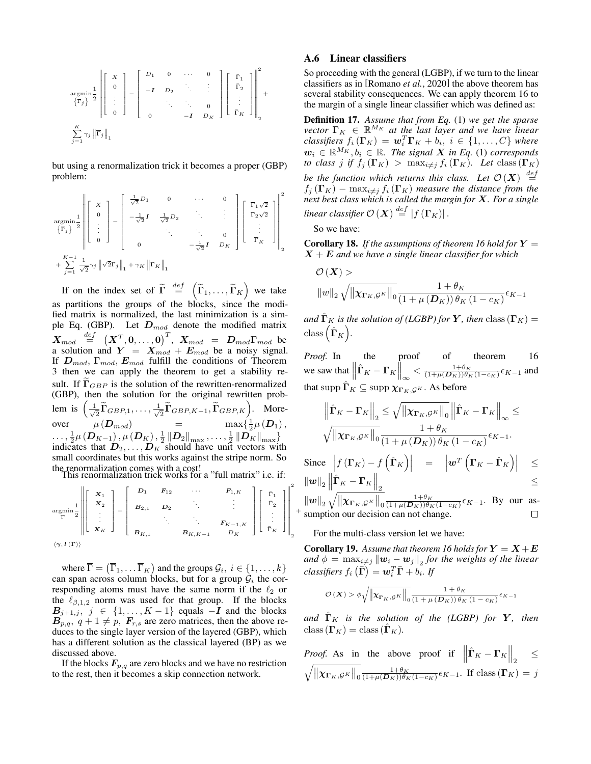$$
\underset{\begin{array}{c}\text{argmin}\\\sum_{j=1}^{K}\gamma_{j}\left\|\overline{\Gamma}_{j}\right\|_{1}}{\left\|\overline{\Gamma}_{j}\right\|_{1}}\end{array}=\left[\begin{array}{cccc}D_{1} & 0 & \cdots & 0\\-I & D_{2} & \ddots & \vdots\\-I & D_{2} & \ddots & \vdots\\0 & -I & D_{K}\end{array}\right]\left[\begin{array}{c}\overline{\Gamma}_{1}\\ \overline{\Gamma}_{2}\\ \vdots\\ \overline{\Gamma}_{K}\end{array}\right]\right\|_{2}^{2}+
$$

but using a renormalization trick it becomes a proper [\(GBP\)](#page-2-0) problem:

$$
\underset{\begin{aligned}\n\mathbf{argmin}}{\operatorname{argmin}} \frac{1}{2} \left\| \begin{bmatrix} X \\
0 \\
\vdots \\
0 \end{bmatrix} - \begin{bmatrix} \frac{1}{\sqrt{2}} D_1 & 0 & \cdots & 0 \\
-\frac{1}{\sqrt{2}} \mathbf{I} & \frac{1}{\sqrt{2}} D_2 & \ddots & \vdots \\
\vdots & \ddots & \ddots & 0 \\
0 & 0 & -\frac{1}{\sqrt{2}} \mathbf{I} \end{bmatrix} \begin{bmatrix} \overline{\Gamma}_1 \sqrt{2} \\
\overline{\Gamma}_2 \sqrt{2} \\
\vdots \\
0 \end{bmatrix} \right\|_2^2 + \sum_{j=1}^{K-1} \frac{1}{\sqrt{2}} \gamma_j \left\| \sqrt{2} \overline{\Gamma}_j \right\|_1 + \gamma_K \left\| \overline{\Gamma}_K \right\|_1\n\end{aligned}
$$

If on the index set of  $\tilde{\Gamma} \stackrel{def}{=} \left( \tilde{\Gamma}_1, \ldots, \tilde{\Gamma}_K \right)$  we take as partitions the groups of the blocks, since the modified matrix is normalized, the last minimization is a sim-ple Eq. [\(GBP\)](#page-2-0). Let  $D_{mod}$  denote the modified matrix  $\boldsymbol{X}_{mod}$   $\stackrel{def}{=}$   $\left(\boldsymbol{X}^{T}, \boldsymbol{0}, \ldots, \boldsymbol{0}\right)^{T},$   $\boldsymbol{X}_{mod}$  =  $\boldsymbol{D}_{mod}\boldsymbol{\Gamma}_{mod}$  be a solution and  $Y = X_{mod} + E_{mod}$  be a noisy signal. If  $D_{mod}$ ,  $\Gamma_{mod}$ ,  $E_{mod}$  fulfill the conditions of Theorem [3](#page-2-1) then we can apply the theorem to get a stability result. If  $\Gamma_{GBP}$  is the solution of the rewritten-renormalized [\(GBP\)](#page-2-0), then the solution for the original rewritten problem is  $\left(\frac{1}{\sqrt{2}}\right)$  $\frac{1}{2}\widetilde{\boldsymbol\Gamma}_{GBP,1},\ldots,\frac{1}{\sqrt{2}}$  $\left( \frac{\overline{\mathbf{\tilde{T}}}}{\mathbf{\tilde{T}}}\widetilde{\mathbf{\Gamma }}_{GBP,K-1},\widetilde{\mathbf{\Gamma }}_{GBP,K}\right)$ . Moreover  $\mu(\mathbf{D}_{mod})$  =  $\max\{\frac{1}{2}\mu(\mathbf{D}_1),\}$  $\begin{equation} \begin{aligned} \text{Cov}_{\mathbf{C}}(\mathbf{D}_{K-1}), \mu\left(\mathbf{D}_{K}\right), \frac{1}{2}\left\|\mathbf{D}_{2}\right\|_{\max}, \ldots, \frac{1}{2}\left\|\mathbf{D}_{K}\right\|_{\max} \end{aligned}, \end{equation}$ indicates that  $D_2, \ldots, D_K$  should have unit vectors with small coordinates but this works against the stripe norm. So the renormalization comes with a cost! This renormalization trick works for a "full matrix" i.e. if:

argmin Γ 1 2 Г  $\begin{array}{c} \begin{array}{c} \begin{array}{c} \begin{array}{c} \end{array} \\ \begin{array}{c} \end{array} \end{array} \end{array} \end{array}$  $\boldsymbol{X}_1$  $\frac{X_2}{\vdots}$  $\boldsymbol{X}_K$ ٦  $\begin{array}{c} \begin{array}{c} \begin{array}{c} \begin{array}{c} \end{array} \\ \begin{array}{c} \end{array} \end{array} \end{array} \end{array}$ − Г  $\begin{array}{c} \begin{array}{c} \begin{array}{c} \begin{array}{c} \end{array} \\ \begin{array}{c} \end{array} \\ \begin{array}{c} \end{array} \end{array} \end{array} \end{array}$  $D_1$   $F_{12}$   $\cdots$   $F_{1,K}$ B2,1 D2 . . . . . . .  $F_{K-1,K}$  $B_{K,1}$  B<sub>K,K−1</sub> D<sub>K</sub> ı  $\begin{array}{c} \begin{array}{c} \begin{array}{c} \begin{array}{c} \begin{array}{c} \end{array} \end{array} \\ \begin{array}{c} \end{array} \end{array} \end{array} \end{array}$ Г  $\begin{array}{c} \begin{array}{c} \begin{array}{c} \begin{array}{c} \end{array} \\ \begin{array}{c} \end{array} \end{array} \end{array} \end{array}$  $\bar{\Gamma}_1$  $\bar{\Gamma}_2$ <br> $\vdots$  $\bar{\Gamma}_K$ 1  $\begin{array}{c} \begin{array}{c} \begin{array}{c} \begin{array}{c} \end{array} \\ \begin{array}{c} \end{array} \\ \begin{array}{c} \end{array} \\ \begin{array}{c} \end{array} \end{array} \end{array} \end{array}$  2 2

$$
\left\langle \gamma ,l\left( \Gamma \right) \right\rangle
$$

where  $\overline{\Gamma} = (\overline{\Gamma}_1, \dots, \overline{\Gamma}_K)$  and the groups  $\mathcal{G}_i, i \in \{1, \dots, k\}$ can span across column blocks, but for a group  $\mathcal{G}_i$  the corresponding atoms must have the same norm if the  $\ell_2$  or the  $\ell_{\beta,1,2}$  norm was used for that group. If the blocks  $B_{j+1,j}, j \in \{1, ..., K-1\}$  equals  $-\hat{\boldsymbol{I}}$  and the blocks  $B_{p,q}$ ,  $q+1 \neq p$ ,  $F_{r,s}$  are zero matrices, then the above reduces to the single layer version of the layered [\(GBP\)](#page-2-0), which has a different solution as the classical layered (BP) as we discussed above.

If the blocks  $F_{p,q}$  are zero blocks and we have no restriction to the rest, then it becomes a skip connection network.

### <span id="page-16-0"></span>A.6 Linear classifiers

So proceeding with the general (LGBP), if we turn to the linear classifiers as in [\[Romano](#page-7-3) *et al.*, 2020] the above theorem has several stability consequences. We can apply theorem [16](#page-15-0) to the margin of a single linear classifier which was defined as:

Definition 17. *Assume that from Eq.* [\(1\)](#page-1-1) *we get the sparse vector*  $\mathbf{\Gamma}_K \in \mathbb{R}^{M_K}$  *at the last layer and we have linear*  $\textit{classifiers } f_i(\mathbf{\Gamma}_K) = \boldsymbol{w}_i^T \mathbf{\Gamma}_K + b_i, \; i \in \{1, \ldots, C\} \; \textit{where}$  $w_i \in \mathbb{R}^{M_K}, b_i \in \mathbb{R}$ . The signal **X** in Eq. [\(1\)](#page-1-1) corresponds *to class* j if  $f_i(\Gamma_K) > \max_{i \neq j} f_i(\Gamma_K)$ . Let class  $(\Gamma_K)$ *be the function which returns this class.* Let  $\mathcal{O}(X) \stackrel{def}{=}$  $f_j(\mathbf{\Gamma}_K)$  –  $\max_{i \neq j} f_i(\mathbf{\Gamma}_K)$  *measure the distance from the next best class which is called the margin for* X*. For a single* linear classifier  $\mathcal{O}\left( \boldsymbol{X} \right) \overset{def}{=} \left| f\left( \boldsymbol{\Gamma}_{K} \right) \right|$  .

So we have:

**Corollary 18.** If the assumptions of theorem [16](#page-15-0) hold for  $Y =$ X + E *and we have a single linear classifier for which*

$$
\mathcal{O}\left(\boldsymbol{X}\right) > \frac{1+\theta_K}{\left\|w\right\|_2 \sqrt{\left\|\boldsymbol{X}\boldsymbol{\Gamma}_K, \boldsymbol{g}^K\right\|_0 \frac{1+\theta_K}{\left(1+\mu\left(\boldsymbol{D}_K\right)\right)\theta_K\left(1-c_K\right)}}\epsilon_{K-1}}
$$

*and*  $\hat{\Gamma}_K$  *is the solution of (LGBP) for* Y, *then* class ( $\Gamma_K$ ) =  $\text{class}(\hat{\mathbf{\Gamma}}_K).$ 

*Proof.* In the proof of theorem [16](#page-15-0) we saw that  $\left\| \hat{\mathbf{\Gamma}}_K - \mathbf{\Gamma}_K \right\|_{\infty} < \frac{1+\theta_K}{(1+\mu(D_K))\theta_K(1-c_K)} \epsilon_{K-1}$  and that supp  $\hat{\Gamma}_K \subseteq \text{supp }\chi_{\Gamma_K,\mathcal{G}^K}$ . As before

$$
\left\| \hat{\mathbf{\Gamma}}_{K} - \mathbf{\Gamma}_{K} \right\|_{2} \leq \sqrt{\left\| \mathbf{\chi}_{\mathbf{\Gamma}_{K},\mathcal{G}^{K}} \right\|_{0}} \left\| \hat{\mathbf{\Gamma}}_{K} - \mathbf{\Gamma}_{K} \right\|_{\infty} \leq
$$

$$
\sqrt{\left\| \mathbf{\chi}_{\mathbf{\Gamma}_{K},\mathcal{G}^{K}} \right\|_{0}} \frac{1 + \theta_{K}}{\left( 1 + \mu\left( \mathbf{D}_{K} \right) \right) \theta_{K} \left( 1 - c_{K} \right)} \epsilon_{K-1}.
$$

Since  $\left| f(\mathbf{\Gamma}_K) - f(\hat{\mathbf{\Gamma}}_K) \right| = \left| \boldsymbol{w}^T (\mathbf{\Gamma}_K - \hat{\mathbf{\Gamma}}_K) \right| \leq$  $\left\|\bm{w}\right\|_2 \left\|\hat{\bm{\Gamma}}_K - \bm{\Gamma}_K\right\|_2 \leq$ 

 $\|w\|_2 \sqrt{\|\chi_{\Gamma_K, \mathcal{G}^K}\|_0} \frac{1+\theta_K}{(1+\mu(D_K))\theta_K(1-c_K)} \epsilon_{K-1}$ . By our assumption our decision can not change.

For the multi-class version let we have:

+

**Corollary 19.** Assume that theorem [16](#page-15-0) holds for  $Y = X + E$ and  $\phi = \max_{i \neq j} ||\boldsymbol{w}_i - \boldsymbol{w}_j||_2$  for the weights of the linear  $\emph{classifiers}~f_i~\large(\bar{\Gamma}\large) = \bm{w}_i^T\bar{\Gamma} + b_i^{\phantom{\dagger}}.~\emph{If}$ 

$$
\mathcal{O}\left(\boldsymbol{X}\right) > \phi \sqrt{\left\| \boldsymbol{\chi}_{\boldsymbol{\Gamma}_{K},\mathcal{G}^{K}} \right\|_{0}} \frac{1 + \theta_{K}}{\left(1 + \mu\left(\boldsymbol{D}_{K}\right)\right) \theta_{K}\left(1 - c_{K}\right)} \epsilon_{K-1}
$$

*and*  $\hat{\Gamma}_K$  *is the solution of the (LGBP) for*  $Y$ *, then*  $\text{class}(\Gamma_K) = \text{class}(\Gamma_K).$ 

*Proof.* As in the above proof if 
$$
\|\hat{\Gamma}_K - \Gamma_K\|_2 \le \sqrt{\|\mathbf{\chi}_{\Gamma_K, \mathcal{G}^K}\|_0} \frac{1 + \theta_K}{(1 + \mu(D_K)) \theta_K (1 - c_K)} \epsilon_{K-1}
$$
. If class  $(\Gamma_K) = j$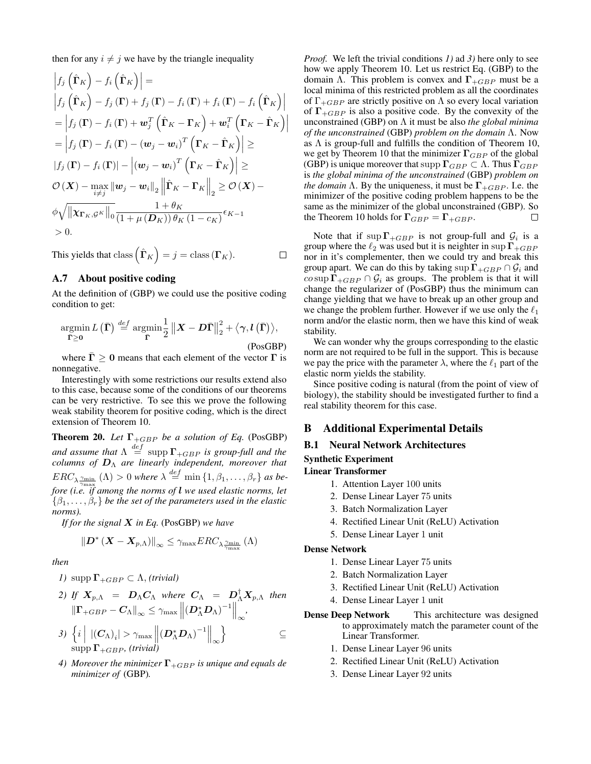then for any  $i \neq j$  we have by the triangle inequality

$$
\begin{split}\n\left|f_j\left(\hat{\mathbf{\Gamma}}_K\right) - f_i\left(\hat{\mathbf{\Gamma}}_K\right)\right| &= \\
\left|f_j\left(\hat{\mathbf{\Gamma}}_K\right) - f_j\left(\mathbf{\Gamma}\right) + f_j\left(\mathbf{\Gamma}\right) - f_i\left(\mathbf{\Gamma}\right) + f_i\left(\mathbf{\Gamma}\right) - f_i\left(\hat{\mathbf{\Gamma}}_K\right)\right| \\
&= \left|f_j\left(\mathbf{\Gamma}\right) - f_i\left(\mathbf{\Gamma}\right) + \mathbf{w}_j^T\left(\hat{\mathbf{\Gamma}}_K - \mathbf{\Gamma}_K\right) + \mathbf{w}_i^T\left(\mathbf{\Gamma}_K - \hat{\mathbf{\Gamma}}_K\right)\right| \\
&= \left|f_j\left(\mathbf{\Gamma}\right) - f_i\left(\mathbf{\Gamma}\right) - (\mathbf{w}_j - \mathbf{w}_i)^T\left(\mathbf{\Gamma}_K - \hat{\mathbf{\Gamma}}_K\right)\right| \geq \\
\left|f_j\left(\mathbf{\Gamma}\right) - f_i\left(\mathbf{\Gamma}\right)\right| - \left|(\mathbf{w}_j - \mathbf{w}_i)^T\left(\mathbf{\Gamma}_K - \hat{\mathbf{\Gamma}}_K\right)\right| \geq \\
\mathcal{O}\left(\mathbf{X}\right) - \max_{i \neq j} \|\mathbf{w}_j - \mathbf{w}_i\|_2 \left\|\hat{\mathbf{\Gamma}}_K - \mathbf{\Gamma}_K\right\|_2 \geq \mathcal{O}\left(\mathbf{X}\right) - \\
&\phi \sqrt{\left\|\mathbf{\chi}_{\mathbf{\Gamma}_K, \mathcal{G}^K}\right\|_0} \frac{1 + \theta_K}{\left(1 + \mu\left(\mathbf{D}_K\right)\right)\theta_K\left(1 - c_K\right)} \epsilon_{K - 1} \\
&\geq 0.\n\end{split}
$$

This yields that class 
$$
(\hat{\mathbf{\Gamma}}_K) = j = \text{class}(\mathbf{\Gamma}_K)
$$
.

### A.7 About positive coding

At the definition of [\(GBP\)](#page-2-0) we could use the positive coding condition to get:

<span id="page-17-2"></span>
$$
\underset{\bar{\Gamma}\geq 0}{\operatorname{argmin}} L(\bar{\Gamma}) \stackrel{def}{=} \underset{\bar{\Gamma}}{\operatorname{argmin}} \frac{1}{2} ||X - D\bar{\Gamma}||_2^2 + \langle \gamma, l(\bar{\Gamma}) \rangle, \tag{PosGBP}
$$

where  $\Gamma \geq 0$  means that each element of the vector  $\Gamma$  is nonnegative.

Interestingly with some restrictions our results extend also to this case, because some of the conditions of our theorems can be very restrictive. To see this we prove the following weak stability theorem for positive coding, which is the direct extension of Theorem [10.](#page-11-0)

**Theorem 20.** *Let*  $\Gamma_{+GBP}$  *be a solution of Eq.* [\(PosGBP\)](#page-17-2) and assume that  $\Lambda \stackrel{def}{=} \mathrm{supp}\, \Gamma_{+GBP}$  is group-full and the *columns of* D<sup>Λ</sup> *are linearly independent, moreover that*  $ERC_{\lambda \frac{\gamma_{\min}}{\gamma_{\max}}}(\Lambda) > 0$  where  $\lambda \stackrel{def}{=} \min\left\{1, \beta_1, \ldots, \beta_r\right\}$  as be*fore (i.e. if among the norms of* l *we used elastic norms, let*  $\{\beta_1,\ldots,\beta_r\}$  be the set of the parameters used in the elastic *norms).*

*If for the signal* X *in Eq.* [\(PosGBP\)](#page-17-2) *we have*

$$
\left\| \boldsymbol{D}^* \left(\boldsymbol{X} - \boldsymbol{X}_{p,\Lambda} \right) \right\|_\infty \leq \gamma_{\max} ERC_{\lambda \frac{\gamma_{\min}}{\gamma_{\max}}} \left( \Lambda \right)
$$

*then*

*1)* supp  $\Gamma_{+GBP} \subset \Lambda$ , *(trivial)* 

2) If 
$$
X_{p,\Lambda} = D_{\Lambda}C_{\Lambda}
$$
 where  $C_{\Lambda} = D_{\Lambda}^{\dagger}X_{p,\Lambda}$  then  

$$
\|\Gamma_{+GBP} - C_{\Lambda}\|_{\infty} \leq \gamma_{\max} \left\| (D_{\Lambda}^* D_{\Lambda})^{-1} \right\|_{\infty},
$$

$$
3) \left\{ i \middle| |(C_{\Lambda})_{i}| > \gamma_{\max} ||(D_{\Lambda}^{*}D_{\Lambda})^{-1}||_{\infty} \right\} \subseteq \text{supp } \Gamma_{+GBP}, (trivial)
$$

*4) Moreover the minimizer*  $\Gamma$ <sub>+GBP</sub> *is unique and equals de minimizer of* [\(GBP\)](#page-2-0)*.*

*Proof.* We left the trivial conditions *1)* ad *3)* here only to see how we apply Theorem [10.](#page-11-0) Let us restrict Eq. [\(GBP\)](#page-2-0) to the domain  $\Lambda$ . This problem is convex and  $\Gamma_{+GBP}$  must be a local minima of this restricted problem as all the coordinates of  $\Gamma_{+GBP}$  are strictly positive on  $\Lambda$  so every local variation of  $\Gamma_{+GBP}$  is also a positive code. By the convexity of the unconstrained [\(GBP\)](#page-2-0) on Λ it must be also *the global minima of the unconstrained* [\(GBP\)](#page-2-0) *problem on the domain* Λ. Now as  $\Lambda$  is group-full and fulfills the condition of Theorem [10,](#page-11-0) we get by Theorem [10](#page-11-0) that the minimizer  $\Gamma_{GBP}$  of the global [\(GBP\)](#page-2-0) is unique moreover that supp  $\Gamma_{GBP} \subset \Lambda$ . Thus  $\Gamma_{GBP}$ is *the global minima of the unconstrained* [\(GBP\)](#page-2-0) *problem on the domain*  $\Lambda$ . By the uniqueness, it must be  $\Gamma_{+GBP}$ . I.e. the minimizer of the positive coding problem happens to be the same as the minimizer of the global unconstrained [\(GBP\)](#page-2-0). So the Theorem [10](#page-11-0) holds for  $\Gamma_{GBP} = \Gamma_{+GBP}$ .  $\Box$ 

Note that if  $\sup \Gamma_{+GBP}$  is not group-full and  $\mathcal{G}_i$  is a group where the  $\ell_2$  was used but it is neighter in sup  $\Gamma_{+GBP}$ nor in it's complementer, then we could try and break this group apart. We can do this by taking sup  $\Gamma_{+GBP} \cap \mathcal{G}_i$  and  $\cos \operatorname{sup} \Gamma_{+GBP} \cap \mathcal{G}_i$  as groups. The problem is that it will change the regularizer of [\(PosGBP\)](#page-17-2) thus the minimum can change yielding that we have to break up an other group and we change the problem further. However if we use only the  $\ell_1$ norm and/or the elastic norm, then we have this kind of weak stability.

We can wonder why the groups corresponding to the elastic norm are not required to be full in the support. This is because we pay the price with the parameter  $\lambda$ , where the  $\ell_1$  part of the elastic norm yields the stability.

Since positive coding is natural (from the point of view of biology), the stability should be investigated further to find a real stability theorem for this case.

# <span id="page-17-1"></span>B Additional Experimental Details

# <span id="page-17-0"></span>B.1 Neural Network Architectures

# Synthetic Experiment

- Linear Transformer
	- 1. Attention Layer 100 units
	- 2. Dense Linear Layer 75 units
	- 3. Batch Normalization Layer
	- 4. Rectified Linear Unit (ReLU) Activation
	- 5. Dense Linear Layer 1 unit

#### Dense Network

- 1. Dense Linear Layer 75 units
- 2. Batch Normalization Layer
- 3. Rectified Linear Unit (ReLU) Activation
- 4. Dense Linear Layer 1 unit
- Dense Deep Network This architecture was designed to approximately match the parameter count of the Linear Transformer.
	- 1. Dense Linear Layer 96 units
	- 2. Rectified Linear Unit (ReLU) Activation
	- 3. Dense Linear Layer 92 units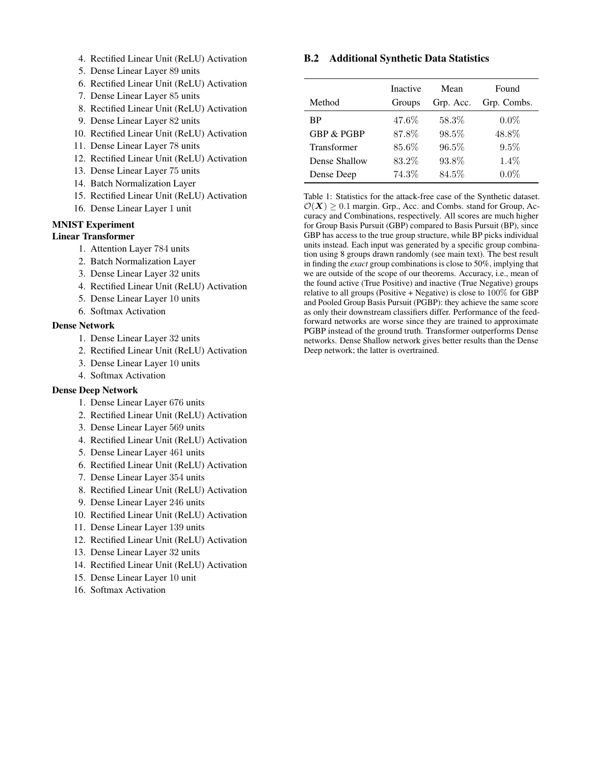- 4. Rectified Linear Unit (ReLU) Activation
- 5. Dense Linear Layer 89 units
- 6. Rectified Linear Unit (ReLU) Activation
- 7. Dense Linear Layer 85 units
- 8. Rectified Linear Unit (ReLU) Activation
- 9. Dense Linear Layer 82 units
- 10. Rectified Linear Unit (ReLU) Activation
- 11. Dense Linear Layer 78 units
- 12. Rectified Linear Unit (ReLU) Activation
- 13. Dense Linear Layer 75 units
- 14. Batch Normalization Layer
- 15. Rectified Linear Unit (ReLU) Activation
- 16. Dense Linear Layer 1 unit

# MNIST Experiment

#### Linear Transformer

- 1. Attention Layer 784 units
- 2. Batch Normalization Layer
- 3. Dense Linear Layer 32 units
- 4. Rectified Linear Unit (ReLU) Activation
- 5. Dense Linear Layer 10 units
- 6. Softmax Activation

### Dense Network

- 1. Dense Linear Layer 32 units
- 2. Rectified Linear Unit (ReLU) Activation
- 3. Dense Linear Layer 10 units
- 4. Softmax Activation

### Dense Deep Network

- 1. Dense Linear Layer 676 units
- 2. Rectified Linear Unit (ReLU) Activation
- 3. Dense Linear Layer 569 units
- 4. Rectified Linear Unit (ReLU) Activation
- 5. Dense Linear Layer 461 units
- 6. Rectified Linear Unit (ReLU) Activation
- 7. Dense Linear Layer 354 units
- 8. Rectified Linear Unit (ReLU) Activation
- 9. Dense Linear Layer 246 units
- 10. Rectified Linear Unit (ReLU) Activation
- 11. Dense Linear Layer 139 units
- 12. Rectified Linear Unit (ReLU) Activation
- 13. Dense Linear Layer 32 units
- 14. Rectified Linear Unit (ReLU) Activation
- 15. Dense Linear Layer 10 unit
- 16. Softmax Activation

# <span id="page-18-1"></span>B.2 Additional Synthetic Data Statistics

<span id="page-18-0"></span>

|                       | <b>Inactive</b> | Mean      | Found       |
|-----------------------|-----------------|-----------|-------------|
| Method                | Groups          | Grp. Acc. | Grp. Combs. |
| ВP                    | 47.6%           | 58.3%     | $0.0\%$     |
| <b>GBP &amp; PGBP</b> | 87.8%           | 98.5%     | 48.8%       |
| Transformer           | 85.6%           | $96.5\%$  | 9.5%        |
| Dense Shallow         | 83.2%           | 93.8%     | $1.4\%$     |
| Dense Deep            | 74.3%           | 84.5%     | $0.0\%$     |

Table 1: Statistics for the attack-free case of the Synthetic dataset.  $\mathcal{O}(\boldsymbol{X}) > 0.1$  margin. Grp., Acc. and Combs. stand for Group, Accuracy and Combinations, respectively. All scores are much higher for Group Basis Pursuit (GBP) compared to Basis Pursuit (BP), since GBP has access to the true group structure, while BP picks individual units instead. Each input was generated by a specific group combination using 8 groups drawn randomly (see main text). The best result in finding the *exact* group combinations is close to 50%, implying that we are outside of the scope of our theorems. Accuracy, i.e., mean of the found active (True Positive) and inactive (True Negative) groups relative to all groups (Positive + Negative) is close to  $100\%$  for GBP and Pooled Group Basis Pursuit (PGBP): they achieve the same score as only their downstream classifiers differ. Performance of the feedforward networks are worse since they are trained to approximate PGBP instead of the ground truth. Transformer outperforms Dense networks. Dense Shallow network gives better results than the Dense Deep network; the latter is overtrained.